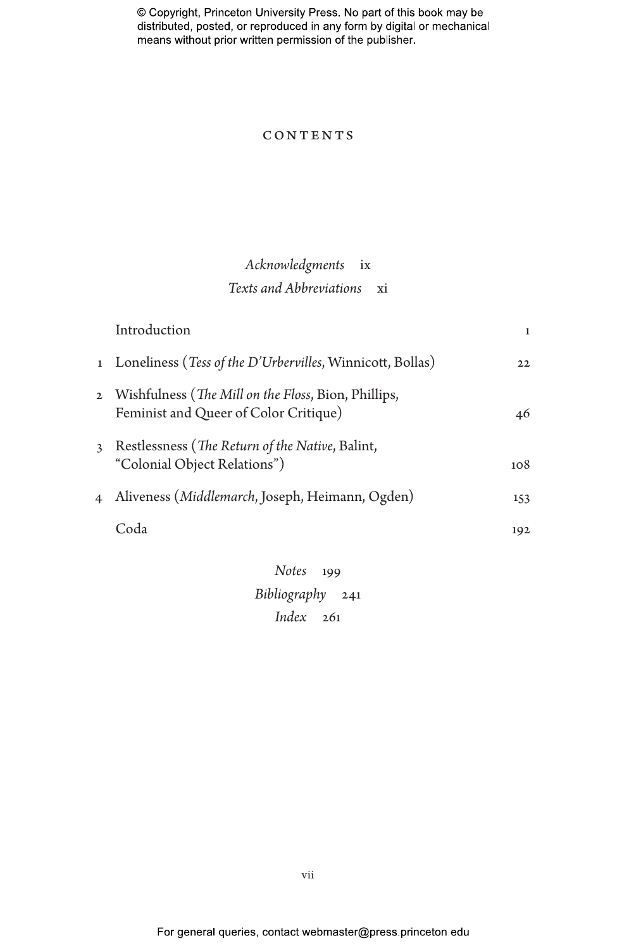#### **CONTENTS**

## *Acknowledgments* ix *Texts and Abbreviations* xi

|              | Introduction                                                                                                  | 1   |
|--------------|---------------------------------------------------------------------------------------------------------------|-----|
| $\mathbf{1}$ | Loneliness (Tess of the D'Urbervilles, Winnicott, Bollas)                                                     | 22  |
| $\mathbf{2}$ | Wishfulness ( <i>The Mill on the Floss</i> , Bion, <i>Phillips</i> ,<br>Feminist and Queer of Color Critique) | 46  |
| $\mathbf{R}$ | Restlessness (The Return of the Native, Balint,<br>"Colonial Object Relations")                               | 108 |
|              | Aliveness (Middlemarch, Joseph, Heimann, Ogden)                                                               | 153 |
|              | Coda                                                                                                          | 192 |
|              |                                                                                                               |     |

*Notes* 199 *Bibliography* 241 *Index* 261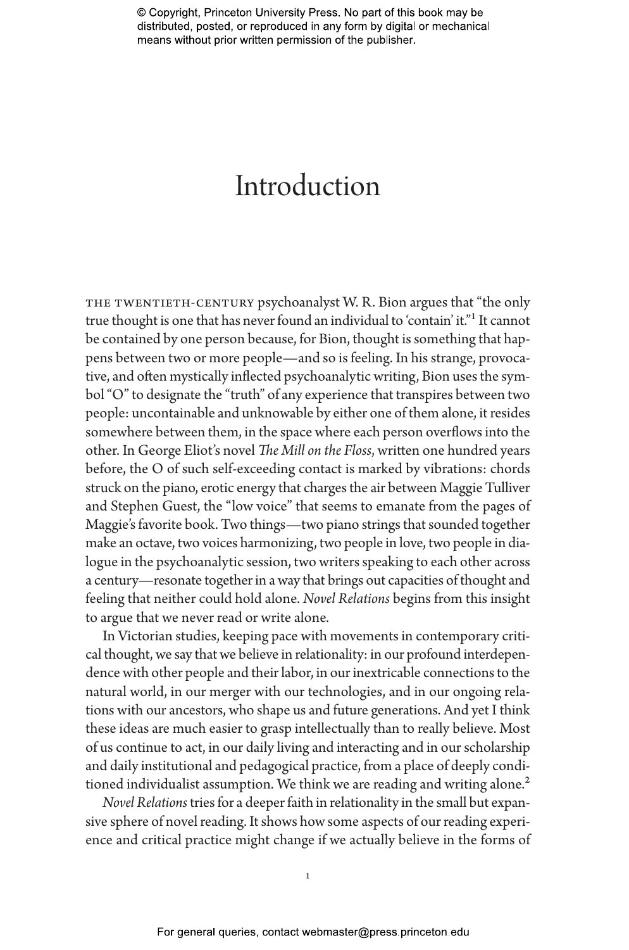# Introduction

THE TWENTIETH-CENTURY psychoanalyst W. R. Bion argues that "the only true thought is one that has never found an individual to 'contain' it."1 It cannot be contained by one person because, for Bion, thought is something that happens between two or more people—and so is feeling. In his strange, provocative, and often mystically inflected psychoanalytic writing, Bion uses the symbol "O" to designate the "truth" of any experience that transpires between two people: uncontainable and unknowable by either one of them alone, it resides somewhere between them, in the space where each person overflows into the other. In George Eliot's novel *The Mill on the Floss*, written one hundred years before, the O of such self-exceeding contact is marked by vibrations: chords struck on the piano, erotic energy that charges the air between Maggie Tulliver and Stephen Guest, the "low voice" that seems to emanate from the pages of Maggie's favorite book. Two things—two piano strings that sounded together make an octave, two voices harmonizing, two people in love, two people in dialogue in the psychoanalytic session, two writers speaking to each other across a century—resonate together in a way that brings out capacities of thought and feeling that neither could hold alone. *Novel Relations* begins from this insight to argue that we never read or write alone.

In Victorian studies, keeping pace with movements in contemporary critical thought, we say that we believe in relationality: in our profound interdependence with other people and their labor, in our inextricable connections to the natural world, in our merger with our technologies, and in our ongoing relations with our ancestors, who shape us and future generations. And yet I think these ideas are much easier to grasp intellectually than to really believe. Most of us continue to act, in our daily living and interacting and in our scholarship and daily institutional and pedagogical practice, from a place of deeply conditioned individualist assumption. We think we are reading and writing alone.<sup>2</sup>

*Novel Relations* tries for a deeper faith in relationality in the small but expansive sphere of novel reading. It shows how some aspects of our reading experience and critical practice might change if we actually believe in the forms of

1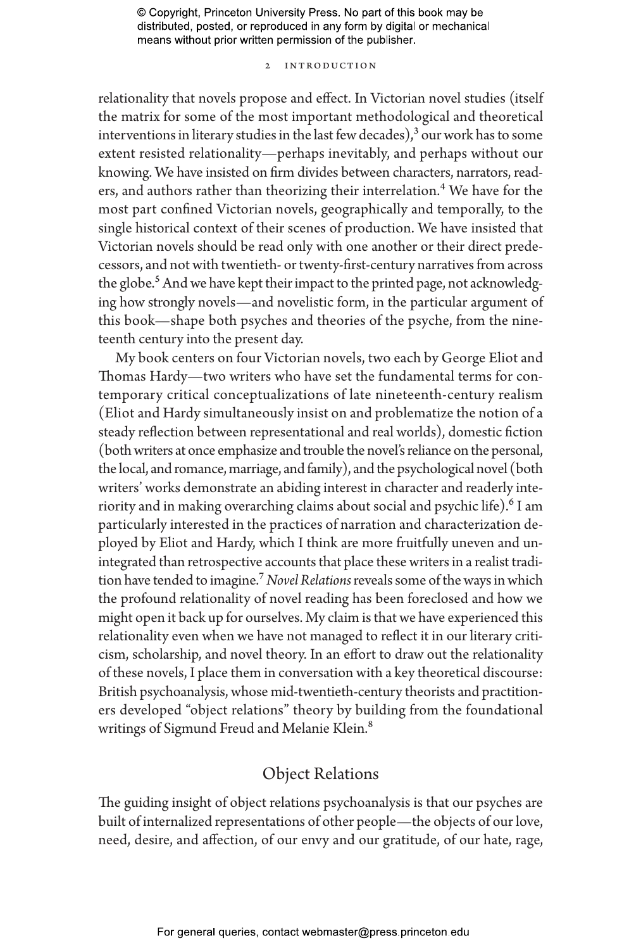#### 2 Introduction

relationality that novels propose and effect. In Victorian novel studies (itself the matrix for some of the most important methodological and theoretical interventions in literary studies in the last few decades), $3$  our work has to some extent resisted relationality—perhaps inevitably, and perhaps without our knowing. We have insisted on firm divides between characters, narrators, readers, and authors rather than theorizing their interrelation.<sup>4</sup> We have for the most part confined Victorian novels, geographically and temporally, to the single historical context of their scenes of production. We have insisted that Victorian novels should be read only with one another or their direct predecessors, and not with twentieth- or twenty-first-century narratives from across the globe.<sup>5</sup> And we have kept their impact to the printed page, not acknowledging how strongly novels—and novelistic form, in the particular argument of this book—shape both psyches and theories of the psyche, from the nineteenth century into the present day.

My book centers on four Victorian novels, two each by George Eliot and Thomas Hardy—two writers who have set the fundamental terms for contemporary critical conceptualizations of late nineteenth-century realism (Eliot and Hardy simultaneously insist on and problematize the notion of a steady reflection between representational and real worlds), domestic fiction (both writers at once emphasize and trouble the novel's reliance on the personal, the local, and romance, marriage, and family), and the psychological novel (both writers' works demonstrate an abiding interest in character and readerly interiority and in making overarching claims about social and psychic life).<sup>6</sup> I am particularly interested in the practices of narration and characterization deployed by Eliot and Hardy, which I think are more fruitfully uneven and unintegrated than retrospective accounts that place these writers in a realist tradition have tended to imagine.7 *Novel Relations* reveals some of the ways in which the profound relationality of novel reading has been foreclosed and how we might open it back up for ourselves. My claim is that we have experienced this relationality even when we have not managed to reflect it in our literary criticism, scholarship, and novel theory. In an effort to draw out the relationality of these novels, I place them in conversation with a key theoretical discourse: British psychoanalysis, whose mid-twentieth-century theorists and practitioners developed "object relations" theory by building from the foundational writings of Sigmund Freud and Melanie Klein.<sup>8</sup>

## Object Relations

The guiding insight of object relations psychoanalysis is that our psyches are built of internalized representations of other people—the objects of our love, need, desire, and affection, of our envy and our gratitude, of our hate, rage,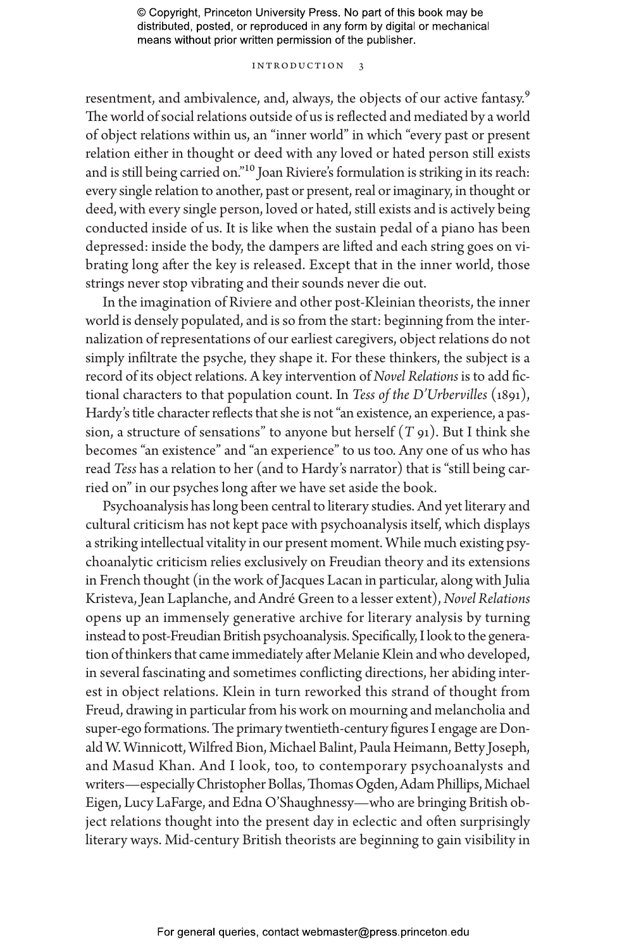#### Introduction 3

resentment, and ambivalence, and, always, the objects of our active fantasy.<sup>9</sup> The world of social relations outside of us is reflected and mediated by a world of object relations within us, an "inner world" in which "every past or present relation either in thought or deed with any loved or hated person still exists and is still being carried on."10 Joan Riviere's formulation is striking in its reach: every single relation to another, past or present, real or imaginary, in thought or deed, with every single person, loved or hated, still exists and is actively being conducted inside of us. It is like when the sustain pedal of a piano has been depressed: inside the body, the dampers are lifted and each string goes on vibrating long after the key is released. Except that in the inner world, those strings never stop vibrating and their sounds never die out.

In the imagination of Riviere and other post-Kleinian theorists, the inner world is densely populated, and is so from the start: beginning from the internalization of representations of our earliest caregivers, object relations do not simply infiltrate the psyche, they shape it. For these thinkers, the subject is a record of its object relations. A key intervention of *Novel Relations* is to add fictional characters to that population count. In *Tess of the D'Urbervilles* (1891), Hardy's title character reflects that she is not "an existence, an experience, a passion, a structure of sensations" to anyone but herself  $(Tg_1)$ . But I think she becomes "an existence" and "an experience" to us too. Any one of us who has read *Tess* has a relation to her (and to Hardy's narrator) that is "still being carried on" in our psyches long after we have set aside the book.

Psychoanalysis has long been central to literary studies. And yet literary and cultural criticism has not kept pace with psychoanalysis itself, which displays a striking intellectual vitality in our present moment. While much existing psychoanalytic criticism relies exclusively on Freudian theory and its extensions in French thought (in the work of Jacques Lacan in particular, along with Julia Kristeva, Jean Laplanche, and André Green to a lesser extent), *Novel Relations* opens up an immensely generative archive for literary analysis by turning instead to post-Freudian British psychoanalysis. Specifically, I look to the generation of thinkers that came immediately after Melanie Klein and who developed, in several fascinating and sometimes conflicting directions, her abiding interest in object relations. Klein in turn reworked this strand of thought from Freud, drawing in particular from his work on mourning and melancholia and super-ego formations. The primary twentieth-century figures I engage are Donald W. Winnicott, Wilfred Bion, Michael Balint, Paula Heimann, Betty Joseph, and Masud Khan. And I look, too, to contemporary psychoanalysts and writers—especially Christopher Bollas, Thomas Ogden, Adam Phillips, Michael Eigen, Lucy LaFarge, and Edna O'Shaughnessy—who are bringing British object relations thought into the present day in eclectic and often surprisingly literary ways. Mid-century British theorists are beginning to gain visibility in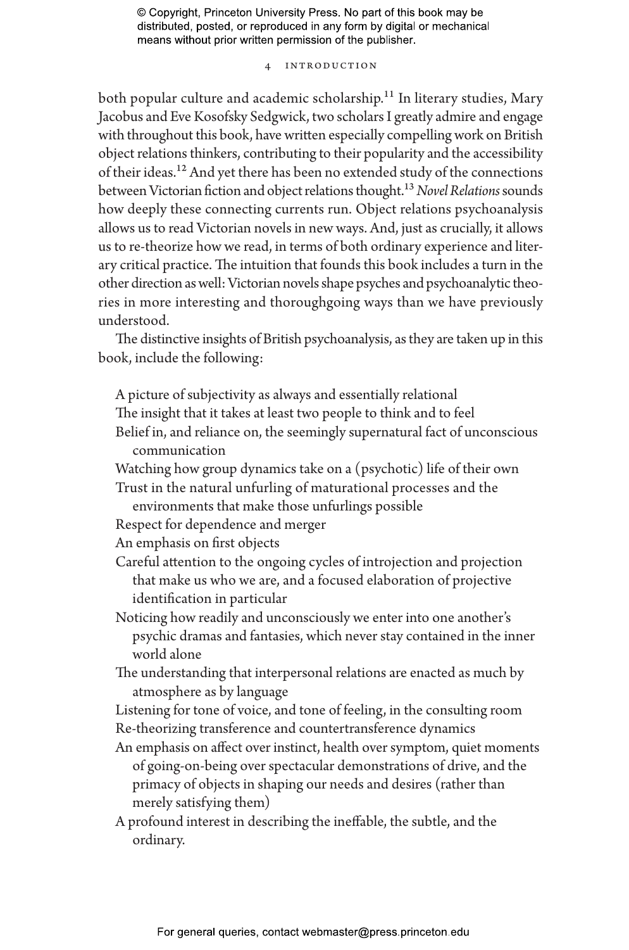#### 4 Introduction

both popular culture and academic scholarship.<sup>11</sup> In literary studies, Mary Jacobus and Eve Kosofsky Sedgwick, two scholars I greatly admire and engage with throughout this book, have written especially compelling work on British object relations thinkers, contributing to their popularity and the accessibility of their ideas.<sup>12</sup> And yet there has been no extended study of the connections between Victorian fiction and object relations thought.13 *Novel Relations* sounds how deeply these connecting currents run. Object relations psychoanalysis allows us to read Victorian novels in new ways. And, just as crucially, it allows us to re-theorize how we read, in terms of both ordinary experience and literary critical practice. The intuition that founds this book includes a turn in the other direction as well: Victorian novels shape psyches and psychoanalytic theories in more interesting and thoroughgoing ways than we have previously understood.

The distinctive insights of British psychoanalysis, as they are taken up in this book, include the following:

A picture of subjectivity as always and essentially relational The insight that it takes at least two people to think and to feel

Belief in, and reliance on, the seemingly supernatural fact of unconscious communication

Watching how group dynamics take on a (psychotic) life of their own Trust in the natural unfurling of maturational processes and the

environments that make those unfurlings possible

Respect for dependence and merger

An emphasis on first objects

Careful attention to the ongoing cycles of introjection and projection that make us who we are, and a focused elaboration of projective identification in particular

Noticing how readily and unconsciously we enter into one another's psychic dramas and fantasies, which never stay contained in the inner world alone

The understanding that interpersonal relations are enacted as much by atmosphere as by language

Listening for tone of voice, and tone of feeling, in the consulting room Re-theorizing transference and countertransference dynamics

- An emphasis on affect over instinct, health over symptom, quiet moments of going-on-being over spectacular demonstrations of drive, and the primacy of objects in shaping our needs and desires (rather than merely satisfying them)
- A profound interest in describing the ineffable, the subtle, and the ordinary.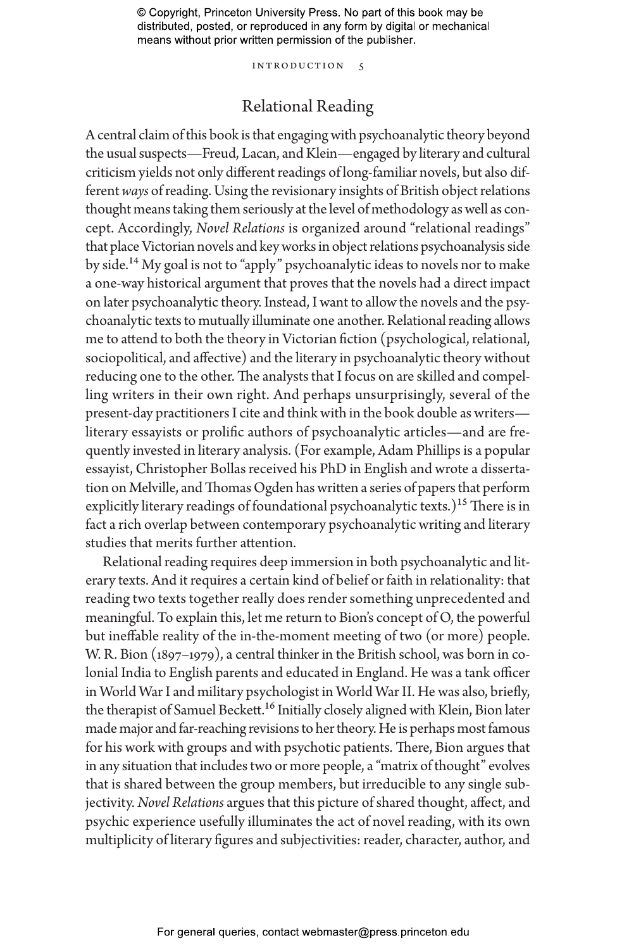Introduction 5

## Relational Reading

A central claim of this book is that engaging with psychoanalytic theory beyond the usual suspects—Freud, Lacan, and Klein—engaged by literary and cultural criticism yields not only different readings of long-familiar novels, but also different *ways* of reading. Using the revisionary insights of British object relations thought means taking them seriously at the level of methodology as well as concept. Accordingly, *Novel Relations* is organized around "relational readings" that place Victorian novels and key works in object relations psychoanalysis side by side.14 My goal is not to "apply" psychoanalytic ideas to novels nor to make a one-way historical argument that proves that the novels had a direct impact on later psychoanalytic theory. Instead, I want to allow the novels and the psychoanalytic texts to mutually illuminate one another. Relational reading allows me to attend to both the theory in Victorian fiction (psychological, relational, sociopolitical, and affective) and the literary in psychoanalytic theory without reducing one to the other. The analysts that I focus on are skilled and compelling writers in their own right. And perhaps unsurprisingly, several of the present-day practitioners I cite and think with in the book double as writers literary essayists or prolific authors of psychoanalytic articles—and are frequently invested in literary analysis. (For example, Adam Phillips is a popular essayist, Christopher Bollas received his PhD in English and wrote a dissertation on Melville, and Thomas Ogden has written a series of papers that perform explicitly literary readings of foundational psychoanalytic texts.)<sup>15</sup> There is in fact a rich overlap between contemporary psychoanalytic writing and literary studies that merits further attention.

Relational reading requires deep immersion in both psychoanalytic and literary texts. And it requires a certain kind of belief or faith in relationality: that reading two texts together really does render something unprecedented and meaningful. To explain this, let me return to Bion's concept of O, the powerful but ineffable reality of the in-the-moment meeting of two (or more) people. W. R. Bion (1897–1979), a central thinker in the British school, was born in colonial India to English parents and educated in England. He was a tank officer in World War I and military psychologist in World War II. He was also, briefly, the therapist of Samuel Beckett.<sup>16</sup> Initially closely aligned with Klein, Bion later made major and far-reaching revisions to her theory. He is perhaps most famous for his work with groups and with psychotic patients. There, Bion argues that in any situation that includes two or more people, a "matrix of thought" evolves that is shared between the group members, but irreducible to any single subjectivity. *Novel Relations* argues that this picture of shared thought, affect, and psychic experience usefully illuminates the act of novel reading, with its own multiplicity of literary figures and subjectivities: reader, character, author, and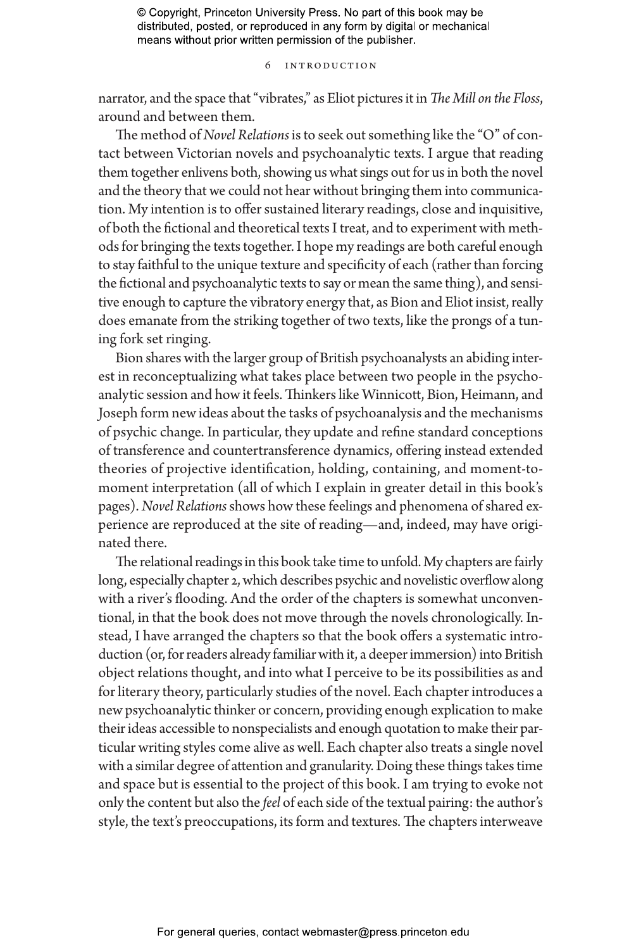#### 6 Introduction

narrator, and the space that "vibrates," as Eliot pictures it in *The Mill on the Floss*, around and between them.

The method of *Novel Relations* is to seek out something like the "O" of contact between Victorian novels and psychoanalytic texts. I argue that reading them together enlivens both, showing us what sings out for us in both the novel and the theory that we could not hear without bringing them into communication. My intention is to offer sustained literary readings, close and inquisitive, of both the fictional and theoretical texts I treat, and to experiment with methods for bringing the texts together. I hope my readings are both careful enough to stay faithful to the unique texture and specificity of each (rather than forcing the fictional and psychoanalytic texts to say or mean the same thing), and sensitive enough to capture the vibratory energy that, as Bion and Eliot insist, really does emanate from the striking together of two texts, like the prongs of a tuning fork set ringing.

Bion shares with the larger group of British psychoanalysts an abiding interest in reconceptualizing what takes place between two people in the psychoanalytic session and how it feels. Thinkers like Winnicott, Bion, Heimann, and Joseph form new ideas about the tasks of psychoanalysis and the mechanisms of psychic change. In particular, they update and refine standard conceptions of transference and countertransference dynamics, offering instead extended theories of projective identification, holding, containing, and moment-tomoment interpretation (all of which I explain in greater detail in this book's pages). *Novel Relations* shows how these feelings and phenomena of shared experience are reproduced at the site of reading—and, indeed, may have originated there.

The relational readings in this book take time to unfold. My chapters are fairly long, especially chapter 2, which describes psychic and novelistic overflow along with a river's flooding. And the order of the chapters is somewhat unconventional, in that the book does not move through the novels chronologically. Instead, I have arranged the chapters so that the book offers a systematic introduction (or, for readers already familiar with it, a deeper immersion) into British object relations thought, and into what I perceive to be its possibilities as and for literary theory, particularly studies of the novel. Each chapter introduces a new psychoanalytic thinker or concern, providing enough explication to make their ideas accessible to nonspecialists and enough quotation to make their particular writing styles come alive as well. Each chapter also treats a single novel with a similar degree of attention and granularity. Doing these things takes time and space but is essential to the project of this book. I am trying to evoke not only the content but also the *feel* of each side of the textual pairing: the author's style, the text's preoccupations, its form and textures. The chapters interweave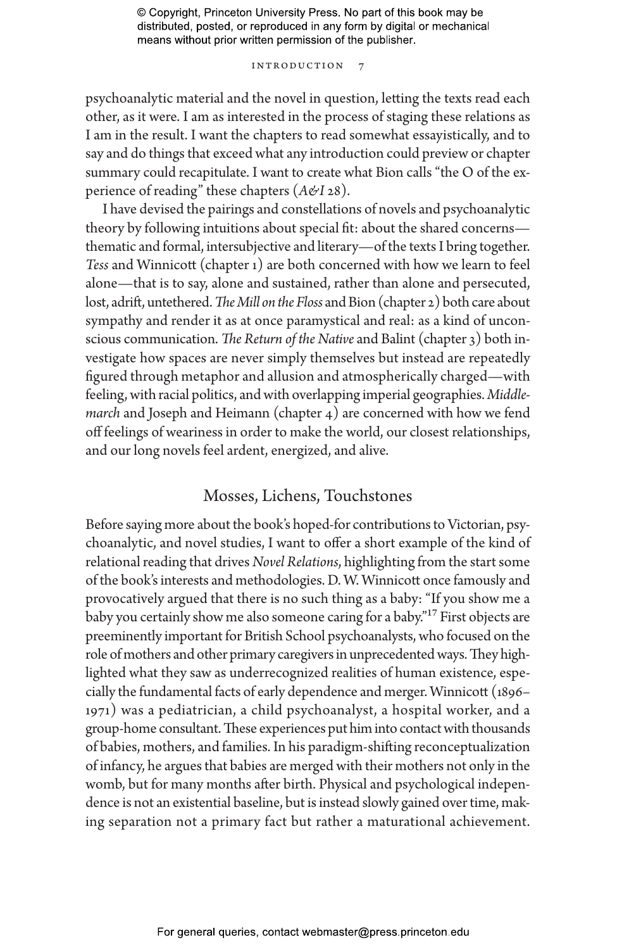#### Introduction 7

psychoanalytic material and the novel in question, letting the texts read each other, as it were. I am as interested in the process of staging these relations as I am in the result. I want the chapters to read somewhat essayistically, and to say and do things that exceed what any introduction could preview or chapter summary could recapitulate. I want to create what Bion calls "the O of the experience of reading" these chapters (*A&I* 28).

I have devised the pairings and constellations of novels and psychoanalytic theory by following intuitions about special fit: about the shared concerns thematic and formal, intersubjective and literary—of the texts I bring together. *Tess* and Winnicott (chapter 1) are both concerned with how we learn to feel alone—that is to say, alone and sustained, rather than alone and persecuted, lost, adrift, untethered. *The Mill on the Floss* and Bion (chapter 2) both care about sympathy and render it as at once paramystical and real: as a kind of unconscious communication. *The Return of the Native* and Balint (chapter 3) both investigate how spaces are never simply themselves but instead are repeatedly figured through metaphor and allusion and atmospherically charged—with feeling, with racial politics, and with overlapping imperial geographies. *Middlemarch* and Joseph and Heimann (chapter 4) are concerned with how we fend off feelings of weariness in order to make the world, our closest relationships, and our long novels feel ardent, energized, and alive.

## Mosses, Lichens, Touchstones

Before saying more about the book's hoped-for contributions to Victorian, psychoanalytic, and novel studies, I want to offer a short example of the kind of relational reading that drives *Novel Relations*, highlighting from the start some of the book's interests and methodologies. D. W. Winnicott once famously and provocatively argued that there is no such thing as a baby: "If you show me a baby you certainly show me also someone caring for a baby."17 First objects are preeminently important for British School psychoanalysts, who focused on the role of mothers and other primary caregivers in unprecedented ways. They highlighted what they saw as underrecognized realities of human existence, especially the fundamental facts of early dependence and merger. Winnicott (1896– 1971) was a pediatrician, a child psychoanalyst, a hospital worker, and a group-home consultant. These experiences put him into contact with thousands of babies, mothers, and families. In his paradigm-shifting reconceptualization of infancy, he argues that babies are merged with their mothers not only in the womb, but for many months after birth. Physical and psychological independence is not an existential baseline, but is instead slowly gained over time, making separation not a primary fact but rather a maturational achievement.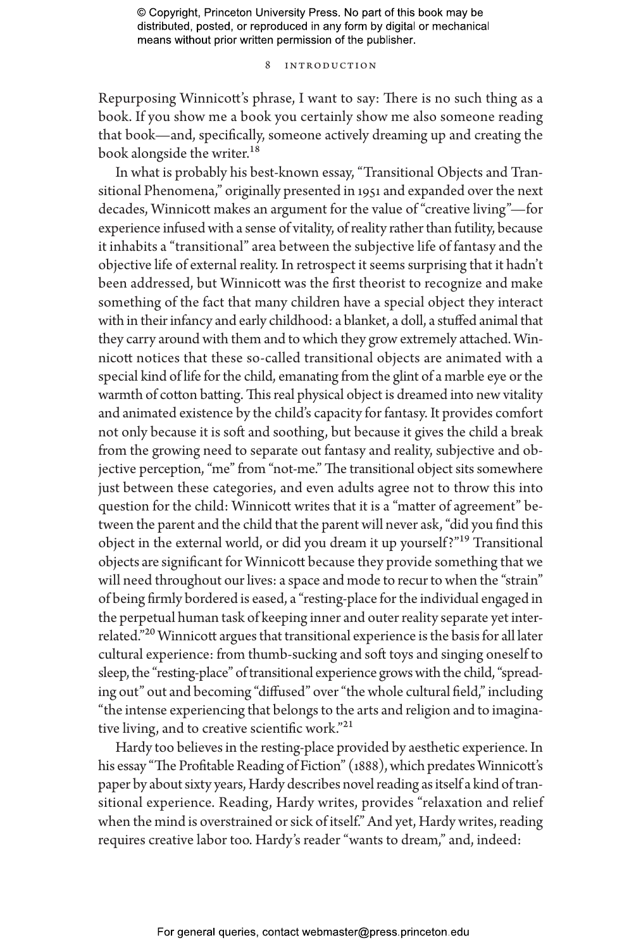#### 8 Introduction

Repurposing Winnicott's phrase, I want to say: There is no such thing as a book. If you show me a book you certainly show me also someone reading that book—and, specifically, someone actively dreaming up and creating the book alongside the writer.<sup>18</sup>

In what is probably his best-known essay, "Transitional Objects and Transitional Phenomena," originally presented in 1951 and expanded over the next decades, Winnicott makes an argument for the value of "creative living"—for experience infused with a sense of vitality, of reality rather than futility, because it inhabits a "transitional" area between the subjective life of fantasy and the objective life of external reality. In retrospect it seems surprising that it hadn't been addressed, but Winnicott was the first theorist to recognize and make something of the fact that many children have a special object they interact with in their infancy and early childhood: a blanket, a doll, a stuffed animal that they carry around with them and to which they grow extremely attached. Winnicott notices that these so-called transitional objects are animated with a special kind of life for the child, emanating from the glint of a marble eye or the warmth of cotton batting. This real physical object is dreamed into new vitality and animated existence by the child's capacity for fantasy. It provides comfort not only because it is soft and soothing, but because it gives the child a break from the growing need to separate out fantasy and reality, subjective and objective perception, "me" from "not-me." The transitional object sits somewhere just between these categories, and even adults agree not to throw this into question for the child: Winnicott writes that it is a "matter of agreement" between the parent and the child that the parent will never ask, "did you find this object in the external world, or did you dream it up yourself?"19 Transitional objects are significant for Winnicott because they provide something that we will need throughout our lives: a space and mode to recur to when the "strain" of being firmly bordered is eased, a "resting-place for the individual engaged in the perpetual human task of keeping inner and outer reality separate yet interrelated."20 Winnicott argues that transitional experience is the basis for all later cultural experience: from thumb-sucking and soft toys and singing oneself to sleep, the "resting-place" of transitional experience grows with the child, "spreading out" out and becoming "diffused" over "the whole cultural field," including "the intense experiencing that belongs to the arts and religion and to imaginative living, and to creative scientific work."21

Hardy too believes in the resting-place provided by aesthetic experience. In his essay "The Profitable Reading of Fiction" (1888), which predates Winnicott's paper by about sixty years, Hardy describes novel reading as itself a kind of transitional experience. Reading, Hardy writes, provides "relaxation and relief when the mind is overstrained or sick of itself." And yet, Hardy writes, reading requires creative labor too. Hardy's reader "wants to dream," and, indeed: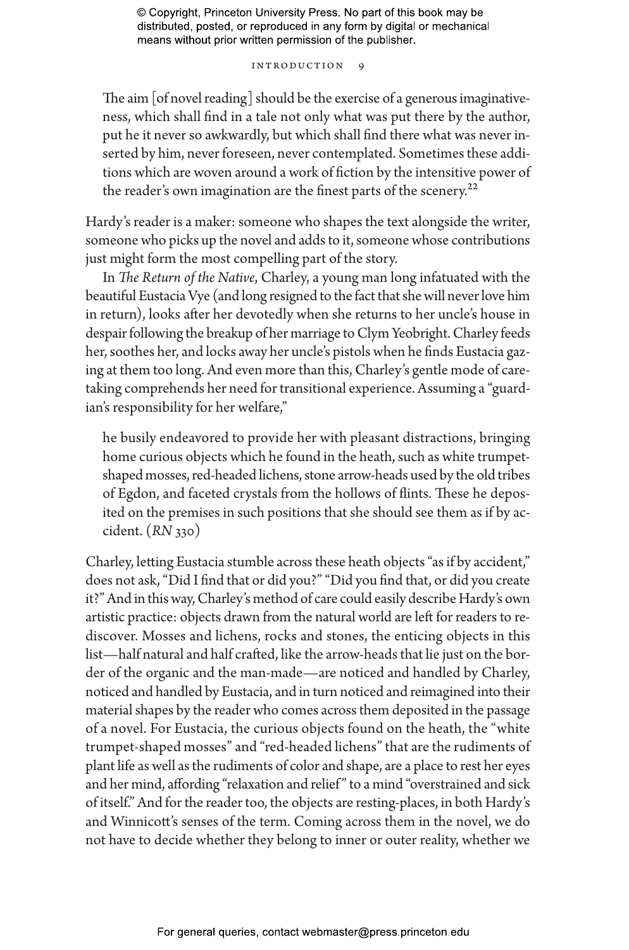#### INTRODUCTION 9

The aim [of novel reading] should be the exercise of a generous imaginativeness, which shall find in a tale not only what was put there by the author, put he it never so awkwardly, but which shall find there what was never inserted by him, never foreseen, never contemplated. Sometimes these additions which are woven around a work of fiction by the intensitive power of the reader's own imagination are the finest parts of the scenery.<sup>22</sup>

Hardy's reader is a maker: someone who shapes the text alongside the writer, someone who picks up the novel and adds to it, someone whose contributions just might form the most compelling part of the story.

In *The Return of the Native*, Charley, a young man long infatuated with the beautiful Eustacia Vye (and long resigned to the fact that she will never love him in return), looks after her devotedly when she returns to her uncle's house in despair following the breakup of her marriage to Clym Yeobright. Charley feeds her, soothes her, and locks away her uncle's pistols when he finds Eustacia gazing at them too long. And even more than this, Charley's gentle mode of caretaking comprehends her need for transitional experience. Assuming a "guardian's responsibility for her welfare,"

he busily endeavored to provide her with pleasant distractions, bringing home curious objects which he found in the heath, such as white trumpetshaped mosses, red-headed lichens, stone arrow-heads used by the old tribes of Egdon, and faceted crystals from the hollows of flints. These he deposited on the premises in such positions that she should see them as if by accident. (*RN* 330)

Charley, letting Eustacia stumble across these heath objects "as if by accident," does not ask, "Did I find that or did you?" "Did you find that, or did you create it?" And in this way, Charley's method of care could easily describe Hardy's own artistic practice: objects drawn from the natural world are left for readers to rediscover. Mosses and lichens, rocks and stones, the enticing objects in this list—half natural and half crafted, like the arrow-heads that lie just on the border of the organic and the man-made—are noticed and handled by Charley, noticed and handled by Eustacia, and in turn noticed and reimagined into their material shapes by the reader who comes across them deposited in the passage of a novel. For Eustacia, the curious objects found on the heath, the "white trumpet-shaped mosses" and "red-headed lichens" that are the rudiments of plant life as well as the rudiments of color and shape, are a place to rest her eyes and her mind, affording "relaxation and relief" to a mind "overstrained and sick of itself." And for the reader too, the objects are resting-places, in both Hardy's and Winnicott's senses of the term. Coming across them in the novel, we do not have to decide whether they belong to inner or outer reality, whether we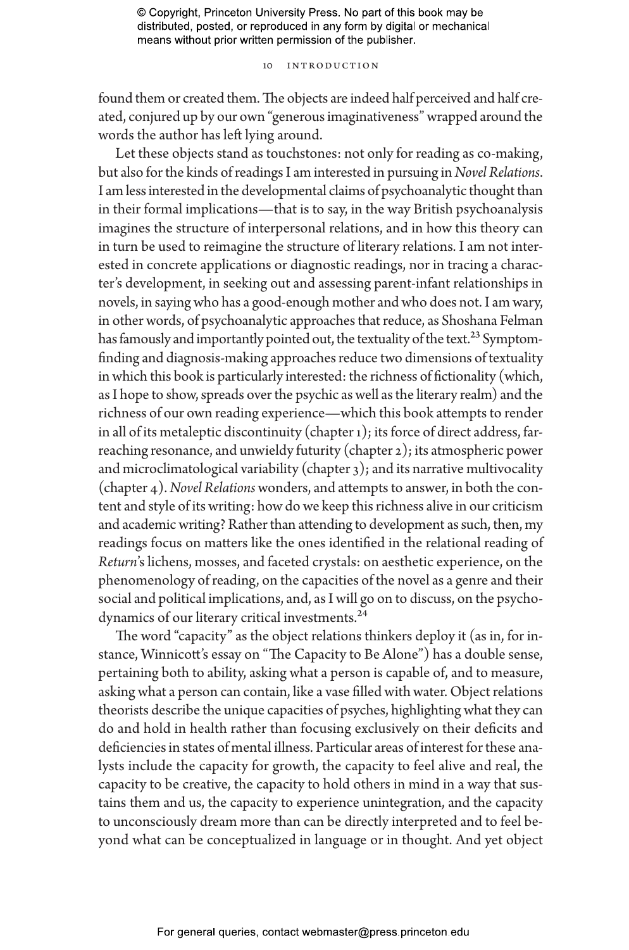10 Introduction

found them or created them. The objects are indeed half perceived and half created, conjured up by our own "generous imaginativeness" wrapped around the words the author has left lying around.

Let these objects stand as touchstones: not only for reading as co-making, but also for the kinds of readings I am interested in pursuing in *Novel Relations*. I am less interested in the developmental claims of psychoanalytic thought than in their formal implications—that is to say, in the way British psychoanalysis imagines the structure of interpersonal relations, and in how this theory can in turn be used to reimagine the structure of literary relations. I am not interested in concrete applications or diagnostic readings, nor in tracing a character's development, in seeking out and assessing parent-infant relationships in novels, in saying who has a good-enough mother and who does not. I am wary, in other words, of psychoanalytic approaches that reduce, as Shoshana Felman has famously and importantly pointed out, the textuality of the text.<sup>23</sup> Symptomfinding and diagnosis-making approaches reduce two dimensions of textuality in which this book is particularly interested: the richness of fictionality (which, as I hope to show, spreads over the psychic as well as the literary realm) and the richness of our own reading experience—which this book attempts to render in all of its metaleptic discontinuity (chapter 1); its force of direct address, farreaching resonance, and unwieldy futurity (chapter 2); its atmospheric power and microclimatological variability (chapter 3); and its narrative multivocality (chapter 4). *Novel Relations* wonders, and attempts to answer, in both the content and style of its writing: how do we keep this richness alive in our criticism and academic writing? Rather than attending to development as such, then, my readings focus on matters like the ones identified in the relational reading of *Return*'s lichens, mosses, and faceted crystals: on aesthetic experience, on the phenomenology of reading, on the capacities of the novel as a genre and their social and political implications, and, as I will go on to discuss, on the psychodynamics of our literary critical investments.<sup>24</sup>

The word "capacity" as the object relations thinkers deploy it (as in, for instance, Winnicott's essay on "The Capacity to Be Alone") has a double sense, pertaining both to ability, asking what a person is capable of, and to measure, asking what a person can contain, like a vase filled with water. Object relations theorists describe the unique capacities of psyches, highlighting what they can do and hold in health rather than focusing exclusively on their deficits and deficiencies in states of mental illness. Particular areas of interest for these analysts include the capacity for growth, the capacity to feel alive and real, the capacity to be creative, the capacity to hold others in mind in a way that sustains them and us, the capacity to experience unintegration, and the capacity to unconsciously dream more than can be directly interpreted and to feel beyond what can be conceptualized in language or in thought. And yet object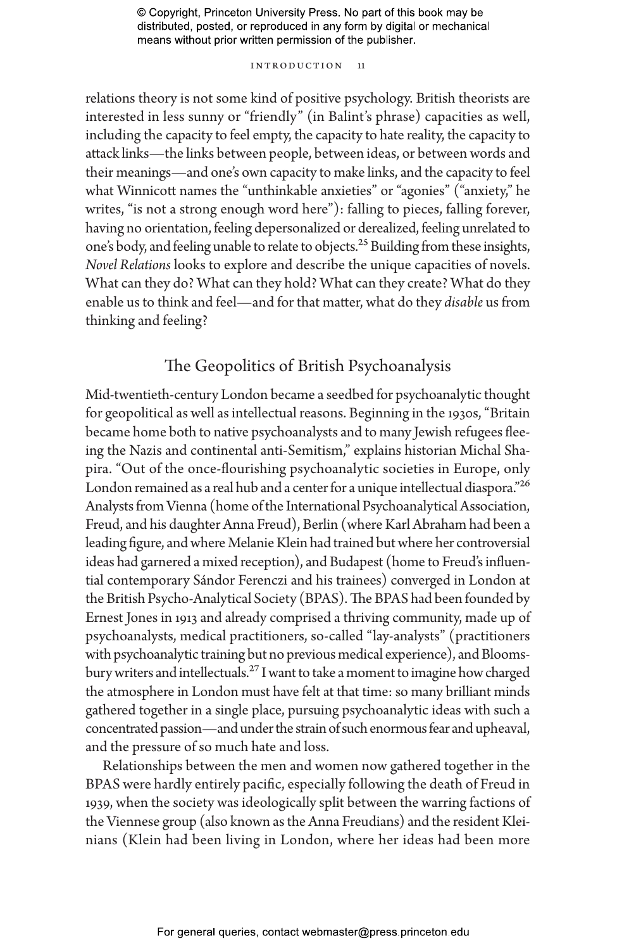#### INTRODUCTION 11

relations theory is not some kind of positive psychology. British theorists are interested in less sunny or "friendly" (in Balint's phrase) capacities as well, including the capacity to feel empty, the capacity to hate reality, the capacity to attack links—the links between people, between ideas, or between words and their meanings—and one's own capacity to make links, and the capacity to feel what Winnicott names the "unthinkable anxieties" or "agonies" ("anxiety," he writes, "is not a strong enough word here"): falling to pieces, falling forever, having no orientation, feeling depersonalized or derealized, feeling unrelated to one's body, and feeling unable to relate to objects.25 Building from these insights, *Novel Relations* looks to explore and describe the unique capacities of novels. What can they do? What can they hold? What can they create? What do they enable us to think and feel—and for that matter, what do they *disable* us from thinking and feeling?

## The Geopolitics of British Psychoanalysis

Mid-twentieth-century London became a seedbed for psychoanalytic thought for geopolitical as well as intellectual reasons. Beginning in the 1930s, "Britain became home both to native psychoanalysts and to many Jewish refugees fleeing the Nazis and continental anti-Semitism," explains historian Michal Shapira. "Out of the once-flourishing psychoanalytic societies in Europe, only London remained as a real hub and a center for a unique intellectual diaspora."26 Analysts from Vienna (home of the International Psychoanalytical Association, Freud, and his daughter Anna Freud), Berlin (where Karl Abraham had been a leading figure, and where Melanie Klein had trained but where her controversial ideas had garnered a mixed reception), and Budapest (home to Freud's influential contemporary Sándor Ferenczi and his trainees) converged in London at the British Psycho-Analytical Society (BPAS). The BPAS had been founded by Ernest Jones in 1913 and already comprised a thriving community, made up of psychoanalysts, medical practitioners, so-called "lay-analysts" (practitioners with psychoanalytic training but no previous medical experience), and Bloomsbury writers and intellectuals.<sup>27</sup> I want to take a moment to imagine how charged the atmosphere in London must have felt at that time: so many brilliant minds gathered together in a single place, pursuing psychoanalytic ideas with such a concentrated passion—and under the strain of such enormous fear and upheaval, and the pressure of so much hate and loss.

Relationships between the men and women now gathered together in the BPAS were hardly entirely pacific, especially following the death of Freud in 1939, when the society was ideologically split between the warring factions of the Viennese group (also known as the Anna Freudians) and the resident Kleinians (Klein had been living in London, where her ideas had been more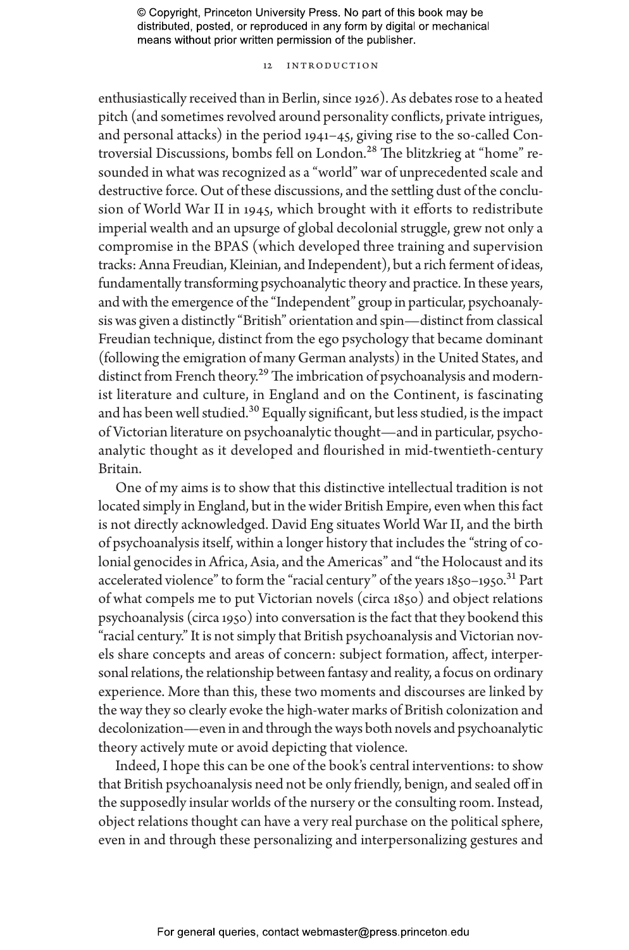12 Introduction

enthusiastically received than in Berlin, since 1926). As debates rose to a heated pitch (and sometimes revolved around personality conflicts, private intrigues, and personal attacks) in the period 1941–45, giving rise to the so-called Controversial Discussions, bombs fell on London.<sup>28</sup> The blitzkrieg at "home" resounded in what was recognized as a "world" war of unprecedented scale and destructive force. Out of these discussions, and the settling dust of the conclusion of World War II in 1945, which brought with it efforts to redistribute imperial wealth and an upsurge of global decolonial struggle, grew not only a compromise in the BPAS (which developed three training and supervision tracks: Anna Freudian, Kleinian, and Independent), but a rich ferment of ideas, fundamentally transforming psychoanalytic theory and practice. In these years, and with the emergence of the "Independent" group in particular, psychoanalysis was given a distinctly "British" orientation and spin—distinct from classical Freudian technique, distinct from the ego psychology that became dominant (following the emigration of many German analysts) in the United States, and distinct from French theory.<sup>29</sup> The imbrication of psychoanalysis and modernist literature and culture, in England and on the Continent, is fascinating and has been well studied.<sup>30</sup> Equally significant, but less studied, is the impact of Victorian literature on psychoanalytic thought—and in particular, psychoanalytic thought as it developed and flourished in mid-twentieth-century Britain.

One of my aims is to show that this distinctive intellectual tradition is not located simply in England, but in the wider British Empire, even when this fact is not directly acknowledged. David Eng situates World War II, and the birth of psychoanalysis itself, within a longer history that includes the "string of colonial genocides in Africa, Asia, and the Americas" and "the Holocaust and its accelerated violence" to form the "racial century" of the years 1850-1950.<sup>31</sup> Part of what compels me to put Victorian novels (circa 1850) and object relations psychoanalysis (circa 1950) into conversation is the fact that they bookend this "racial century." It is not simply that British psychoanalysis and Victorian novels share concepts and areas of concern: subject formation, affect, interpersonal relations, the relationship between fantasy and reality, a focus on ordinary experience. More than this, these two moments and discourses are linked by the way they so clearly evoke the high-water marks of British colonization and decolonization—even in and through the ways both novels and psychoanalytic theory actively mute or avoid depicting that violence.

Indeed, I hope this can be one of the book's central interventions: to show that British psychoanalysis need not be only friendly, benign, and sealed off in the supposedly insular worlds of the nursery or the consulting room. Instead, object relations thought can have a very real purchase on the political sphere, even in and through these personalizing and interpersonalizing gestures and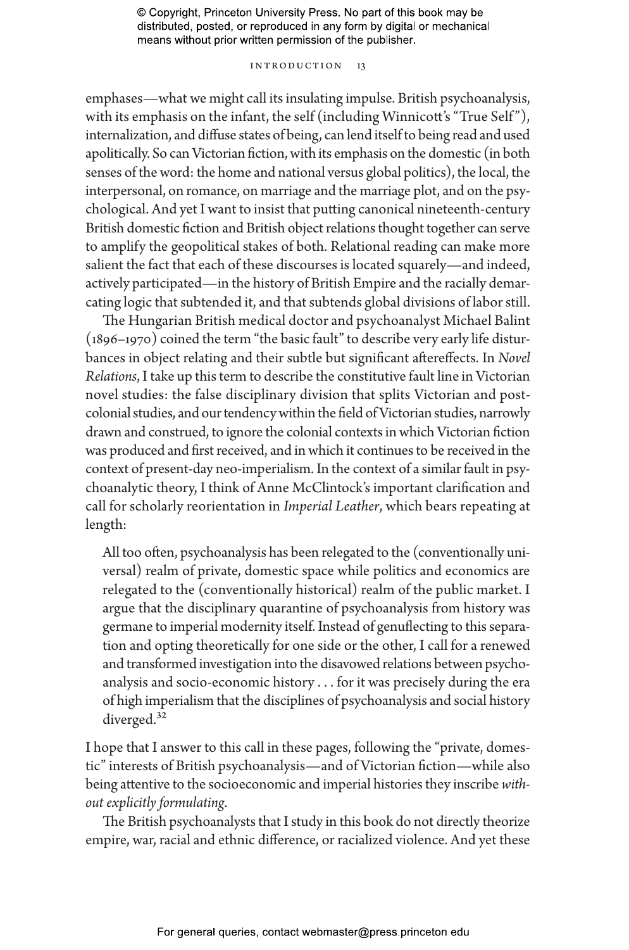#### INTRODUCTION 13

emphases—what we might call its insulating impulse. British psychoanalysis, with its emphasis on the infant, the self (including Winnicott's "True Self"), internalization, and diffuse states of being, can lend itself to being read and used apolitically. So can Victorian fiction, with its emphasis on the domestic (in both senses of the word: the home and national versus global politics), the local, the interpersonal, on romance, on marriage and the marriage plot, and on the psychological. And yet I want to insist that putting canonical nineteenth-century British domestic fiction and British object relations thought together can serve to amplify the geopolitical stakes of both. Relational reading can make more salient the fact that each of these discourses is located squarely—and indeed, actively participated—in the history of British Empire and the racially demarcating logic that subtended it, and that subtends global divisions of labor still.

The Hungarian British medical doctor and psychoanalyst Michael Balint (1896–1970) coined the term "the basic fault" to describe very early life disturbances in object relating and their subtle but significant aftereffects. In *Novel Relations*, I take up this term to describe the constitutive fault line in Victorian novel studies: the false disciplinary division that splits Victorian and postcolonial studies, and our tendency within the field of Victorian studies, narrowly drawn and construed, to ignore the colonial contexts in which Victorian fiction was produced and first received, and in which it continues to be received in the context of present-day neo-imperialism. In the context of a similar fault in psychoanalytic theory, I think of Anne McClintock's important clarification and call for scholarly reorientation in *Imperial Leather*, which bears repeating at length:

All too often, psychoanalysis has been relegated to the (conventionally universal) realm of private, domestic space while politics and economics are relegated to the (conventionally historical) realm of the public market. I argue that the disciplinary quarantine of psychoanalysis from history was germane to imperial modernity itself. Instead of genuflecting to this separation and opting theoretically for one side or the other, I call for a renewed and transformed investigation into the disavowed relations between psychoanalysis and socio-economic history . . . for it was precisely during the era of high imperialism that the disciplines of psychoanalysis and social history diverged.32

I hope that I answer to this call in these pages, following the "private, domestic" interests of British psychoanalysis—and of Victorian fiction—while also being attentive to the socioeconomic and imperial histories they inscribe *without explicitly formulating*.

The British psychoanalysts that I study in this book do not directly theorize empire, war, racial and ethnic difference, or racialized violence. And yet these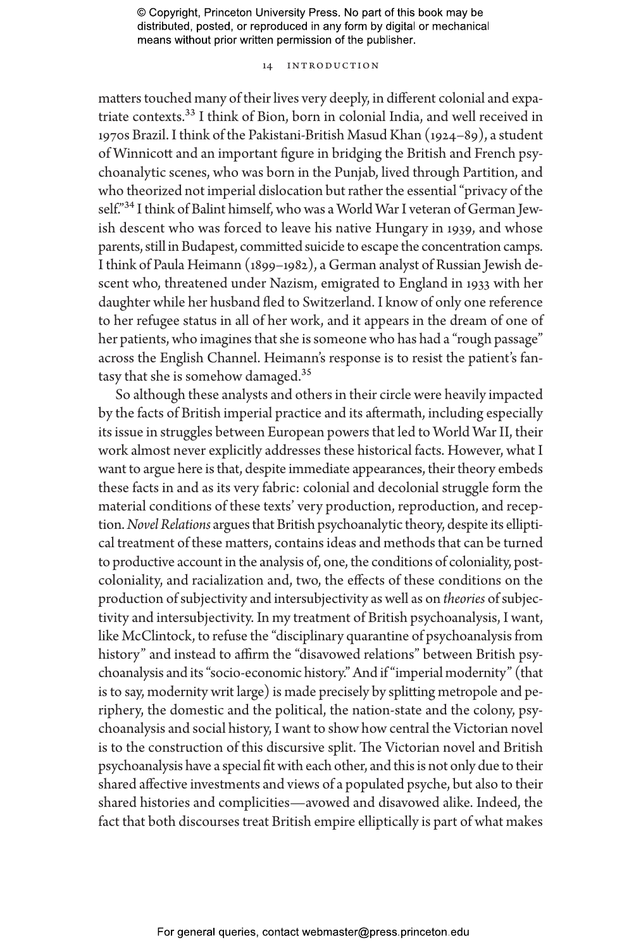#### 14 Introduction

matters touched many of their lives very deeply, in different colonial and expatriate contexts.33 I think of Bion, born in colonial India, and well received in 1970s Brazil. I think of the Pakistani-British Masud Khan (1924–89), a student of Winnicott and an important figure in bridging the British and French psychoanalytic scenes, who was born in the Punjab, lived through Partition, and who theorized not imperial dislocation but rather the essential "privacy of the self."<sup>34</sup> I think of Balint himself, who was a World War I veteran of German Jewish descent who was forced to leave his native Hungary in 1939, and whose parents, still in Budapest, committed suicide to escape the concentration camps. I think of Paula Heimann (1899–1982), a German analyst of Russian Jewish descent who, threatened under Nazism, emigrated to England in 1933 with her daughter while her husband fled to Switzerland. I know of only one reference to her refugee status in all of her work, and it appears in the dream of one of her patients, who imagines that she is someone who has had a "rough passage" across the English Channel. Heimann's response is to resist the patient's fantasy that she is somehow damaged.<sup>35</sup>

So although these analysts and others in their circle were heavily impacted by the facts of British imperial practice and its aftermath, including especially its issue in struggles between European powers that led to World War II, their work almost never explicitly addresses these historical facts. However, what I want to argue here is that, despite immediate appearances, their theory embeds these facts in and as its very fabric: colonial and decolonial struggle form the material conditions of these texts' very production, reproduction, and reception. *Novel Relations* argues that British psychoanalytic theory, despite its elliptical treatment of these matters, contains ideas and methods that can be turned to productive account in the analysis of, one, the conditions of coloniality, postcoloniality, and racialization and, two, the effects of these conditions on the production of subjectivity and intersubjectivity as well as on *theories* of subjectivity and intersubjectivity. In my treatment of British psychoanalysis, I want, like McClintock, to refuse the "disciplinary quarantine of psychoanalysis from history" and instead to affirm the "disavowed relations" between British psychoanalysis and its "socio-economic history." And if "imperial modernity" (that is to say, modernity writ large) is made precisely by splitting metropole and periphery, the domestic and the political, the nation-state and the colony, psychoanalysis and social history, I want to show how central the Victorian novel is to the construction of this discursive split. The Victorian novel and British psychoanalysis have a special fit with each other, and this is not only due to their shared affective investments and views of a populated psyche, but also to their shared histories and complicities—avowed and disavowed alike. Indeed, the fact that both discourses treat British empire elliptically is part of what makes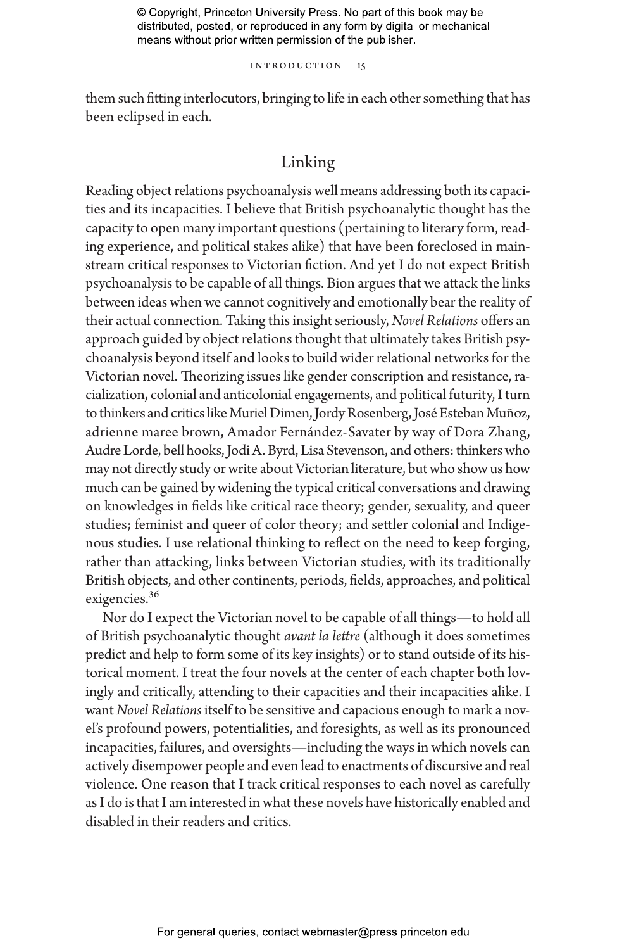#### Introduction 15

them such fitting interlocutors, bringing to life in each other something that has been eclipsed in each.

## Linking

Reading object relations psychoanalysis well means addressing both its capacities and its incapacities. I believe that British psychoanalytic thought has the capacity to open many important questions (pertaining to literary form, reading experience, and political stakes alike) that have been foreclosed in mainstream critical responses to Victorian fiction. And yet I do not expect British psychoanalysis to be capable of all things. Bion argues that we attack the links between ideas when we cannot cognitively and emotionally bear the reality of their actual connection. Taking this insight seriously, *Novel Relations* offers an approach guided by object relations thought that ultimately takes British psychoanalysis beyond itself and looks to build wider relational networks for the Victorian novel. Theorizing issues like gender conscription and resistance, racialization, colonial and anticolonial engagements, and political futurity, I turn to thinkers and critics like Muriel Dimen, Jordy Rosenberg, José Esteban Muñoz, adrienne maree brown, Amador Fernández-Savater by way of Dora Zhang, Audre Lorde, bell hooks, Jodi A. Byrd, Lisa Stevenson, and others: thinkers who may not directly study or write about Victorian literature, but who show us how much can be gained by widening the typical critical conversations and drawing on knowledges in fields like critical race theory; gender, sexuality, and queer studies; feminist and queer of color theory; and settler colonial and Indigenous studies. I use relational thinking to reflect on the need to keep forging, rather than attacking, links between Victorian studies, with its traditionally British objects, and other continents, periods, fields, approaches, and political exigencies.<sup>36</sup>

Nor do I expect the Victorian novel to be capable of all things—to hold all of British psychoanalytic thought *avant la lettre* (although it does sometimes predict and help to form some of its key insights) or to stand outside of its historical moment. I treat the four novels at the center of each chapter both lovingly and critically, attending to their capacities and their incapacities alike. I want *Novel Relations* itself to be sensitive and capacious enough to mark a novel's profound powers, potentialities, and foresights, as well as its pronounced incapacities, failures, and oversights—including the ways in which novels can actively disempower people and even lead to enactments of discursive and real violence. One reason that I track critical responses to each novel as carefully as I do is that I am interested in what these novels have historically enabled and disabled in their readers and critics.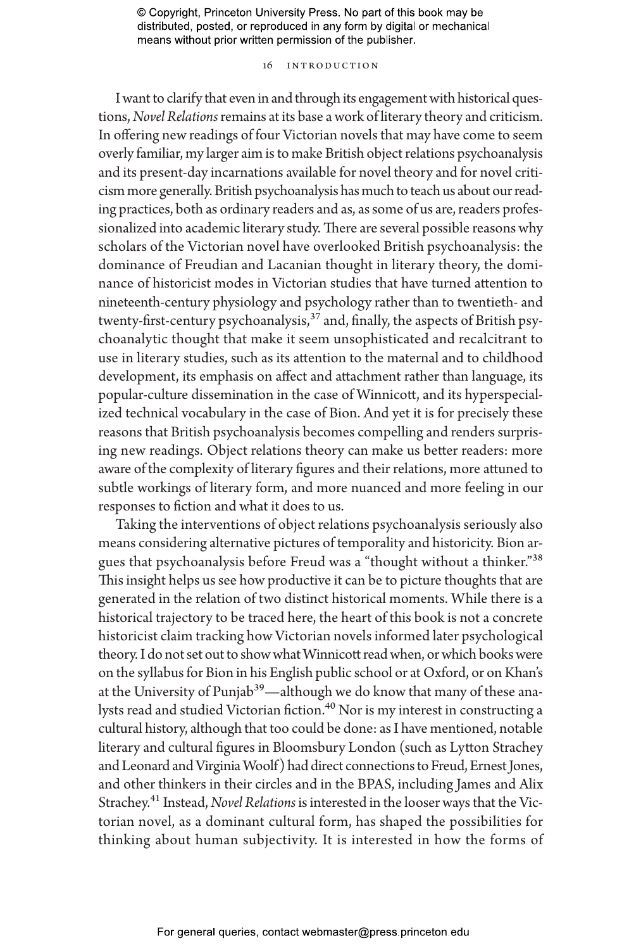#### 16 Introduction

I want to clarify that even in and through its engagement with historical questions, *Novel Relations* remains at its base a work of literary theory and criticism. In offering new readings of four Victorian novels that may have come to seem overly familiar, my larger aim is to make British object relations psychoanalysis and its present-day incarnations available for novel theory and for novel criticism more generally. British psychoanalysis has much to teach us about our reading practices, both as ordinary readers and as, as some of us are, readers professionalized into academic literary study. There are several possible reasons why scholars of the Victorian novel have overlooked British psychoanalysis: the dominance of Freudian and Lacanian thought in literary theory, the dominance of historicist modes in Victorian studies that have turned attention to nineteenth-century physiology and psychology rather than to twentieth- and twenty-first-century psychoanalysis,<sup>37</sup> and, finally, the aspects of British psychoanalytic thought that make it seem unsophisticated and recalcitrant to use in literary studies, such as its attention to the maternal and to childhood development, its emphasis on affect and attachment rather than language, its popular-culture dissemination in the case of Winnicott, and its hyperspecialized technical vocabulary in the case of Bion. And yet it is for precisely these reasons that British psychoanalysis becomes compelling and renders surprising new readings. Object relations theory can make us better readers: more aware of the complexity of literary figures and their relations, more attuned to subtle workings of literary form, and more nuanced and more feeling in our responses to fiction and what it does to us.

Taking the interventions of object relations psychoanalysis seriously also means considering alternative pictures of temporality and historicity. Bion argues that psychoanalysis before Freud was a "thought without a thinker."<sup>38</sup> This insight helps us see how productive it can be to picture thoughts that are generated in the relation of two distinct historical moments. While there is a historical trajectory to be traced here, the heart of this book is not a concrete historicist claim tracking how Victorian novels informed later psychological theory. I do not set out to show what Winnicott read when, or which books were on the syllabus for Bion in his English public school or at Oxford, or on Khan's at the University of Punjab<sup>39</sup>—although we do know that many of these analysts read and studied Victorian fiction.<sup>40</sup> Nor is my interest in constructing a cultural history, although that too could be done: as I have mentioned, notable literary and cultural figures in Bloomsbury London (such as Lytton Strachey and Leonard and Virginia Woolf) had direct connections to Freud, Ernest Jones, and other thinkers in their circles and in the BPAS, including James and Alix Strachey.41 Instead, *Novel Relations* is interested in the looser ways that the Victorian novel, as a dominant cultural form, has shaped the possibilities for thinking about human subjectivity. It is interested in how the forms of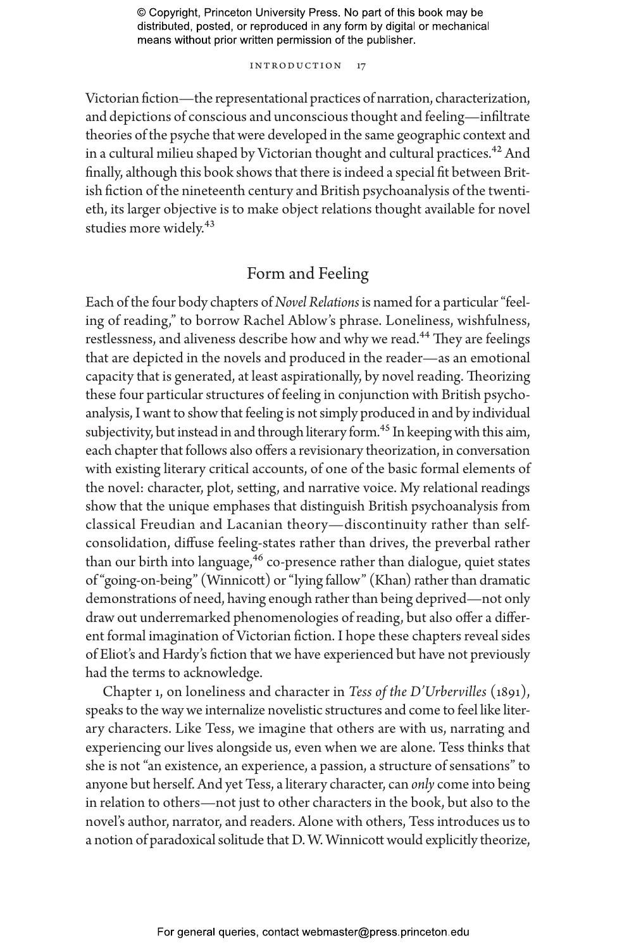#### Introduction 17

Victorian fiction—the representational practices of narration, characterization, and depictions of conscious and unconscious thought and feeling—infiltrate theories of the psyche that were developed in the same geographic context and in a cultural milieu shaped by Victorian thought and cultural practices.<sup>42</sup> And finally, although this book shows that there is indeed a special fit between British fiction of the nineteenth century and British psychoanalysis of the twentieth, its larger objective is to make object relations thought available for novel studies more widely.<sup>43</sup>

## Form and Feeling

Each of the four body chapters of *Novel Relations* is named for a particular "feeling of reading," to borrow Rachel Ablow's phrase. Loneliness, wishfulness, restlessness, and aliveness describe how and why we read.<sup>44</sup> They are feelings that are depicted in the novels and produced in the reader—as an emotional capacity that is generated, at least aspirationally, by novel reading. Theorizing these four particular structures of feeling in conjunction with British psychoanalysis, I want to show that feeling is not simply produced in and by individual subjectivity, but instead in and through literary form.<sup>45</sup> In keeping with this aim, each chapter that follows also offers a revisionary theorization, in conversation with existing literary critical accounts, of one of the basic formal elements of the novel: character, plot, setting, and narrative voice. My relational readings show that the unique emphases that distinguish British psychoanalysis from classical Freudian and Lacanian theory—discontinuity rather than selfconsolidation, diffuse feeling-states rather than drives, the preverbal rather than our birth into language,<sup>46</sup> co-presence rather than dialogue, quiet states of "going-on-being" (Winnicott) or "lying fallow" (Khan) rather than dramatic demonstrations of need, having enough rather than being deprived—not only draw out underremarked phenomenologies of reading, but also offer a different formal imagination of Victorian fiction. I hope these chapters reveal sides of Eliot's and Hardy's fiction that we have experienced but have not previously had the terms to acknowledge.

Chapter 1, on loneliness and character in *Tess of the D'Urbervilles* (1891), speaks to the way we internalize novelistic structures and come to feel like literary characters. Like Tess, we imagine that others are with us, narrating and experiencing our lives alongside us, even when we are alone. Tess thinks that she is not "an existence, an experience, a passion, a structure of sensations" to anyone but herself. And yet Tess, a literary character, can *only* come into being in relation to others—not just to other characters in the book, but also to the novel's author, narrator, and readers. Alone with others, Tess introduces us to a notion of paradoxical solitude that D. W. Winnicott would explicitly theorize,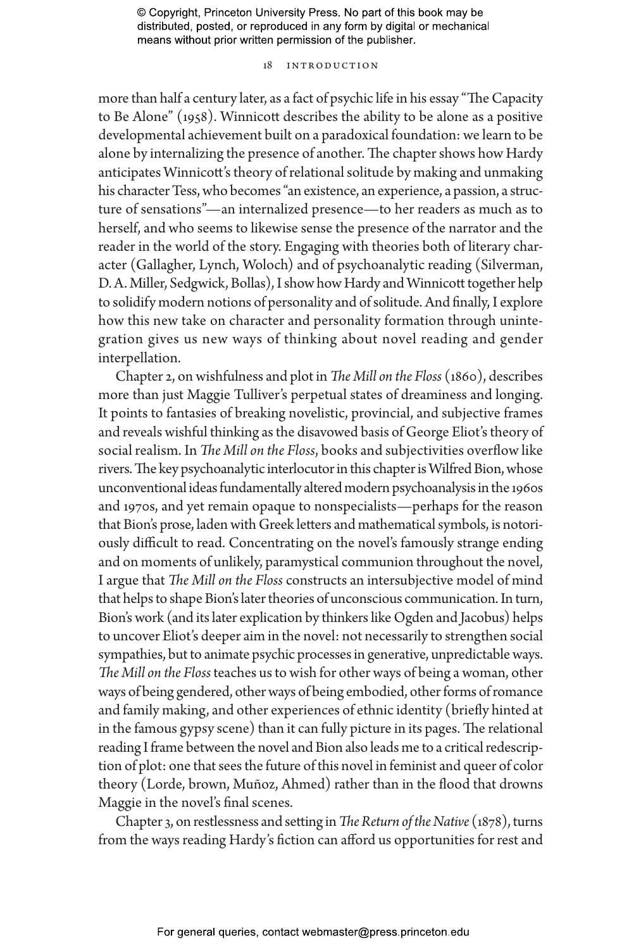#### 18 Introduction

more than half a century later, as a fact of psychic life in his essay "The Capacity to Be Alone" (1958). Winnicott describes the ability to be alone as a positive developmental achievement built on a paradoxical foundation: we learn to be alone by internalizing the presence of another. The chapter shows how Hardy anticipates Winnicott's theory of relational solitude by making and unmaking his character Tess, who becomes "an existence, an experience, a passion, a structure of sensations"—an internalized presence—to her readers as much as to herself, and who seems to likewise sense the presence of the narrator and the reader in the world of the story. Engaging with theories both of literary character (Gallagher, Lynch, Woloch) and of psychoanalytic reading (Silverman, D. A. Miller, Sedgwick, Bollas), I show how Hardy and Winnicott together help to solidify modern notions of personality and of solitude. And finally, I explore how this new take on character and personality formation through unintegration gives us new ways of thinking about novel reading and gender interpellation.

Chapter 2, on wishfulness and plot in *The Mill on the Floss* (1860), describes more than just Maggie Tulliver's perpetual states of dreaminess and longing. It points to fantasies of breaking novelistic, provincial, and subjective frames and reveals wishful thinking as the disavowed basis of George Eliot's theory of social realism. In *The Mill on the Floss*, books and subjectivities overflow like rivers. The key psychoanalytic interlocutor in this chapter is Wilfred Bion, whose unconventional ideas fundamentally altered modern psychoanalysis in the 1960s and 1970s, and yet remain opaque to nonspecialists—perhaps for the reason that Bion's prose, laden with Greek letters and mathematical symbols, is notoriously difficult to read. Concentrating on the novel's famously strange ending and on moments of unlikely, paramystical communion throughout the novel, I argue that *The Mill on the Floss* constructs an intersubjective model of mind that helps to shape Bion's later theories of unconscious communication. In turn, Bion's work (and its later explication by thinkers like Ogden and Jacobus) helps to uncover Eliot's deeper aim in the novel: not necessarily to strengthen social sympathies, but to animate psychic processes in generative, unpredictable ways. *The Mill on the Floss* teaches us to wish for other ways of being a woman, other ways of being gendered, other ways of being embodied, other forms of romance and family making, and other experiences of ethnic identity (briefly hinted at in the famous gypsy scene) than it can fully picture in its pages. The relational reading I frame between the novel and Bion also leads me to a critical redescription of plot: one that sees the future of this novel in feminist and queer of color theory (Lorde, brown, Muñoz, Ahmed) rather than in the flood that drowns Maggie in the novel's final scenes.

Chapter 3, on restlessness and setting in *The Return of the Native* (1878), turns from the ways reading Hardy's fiction can afford us opportunities for rest and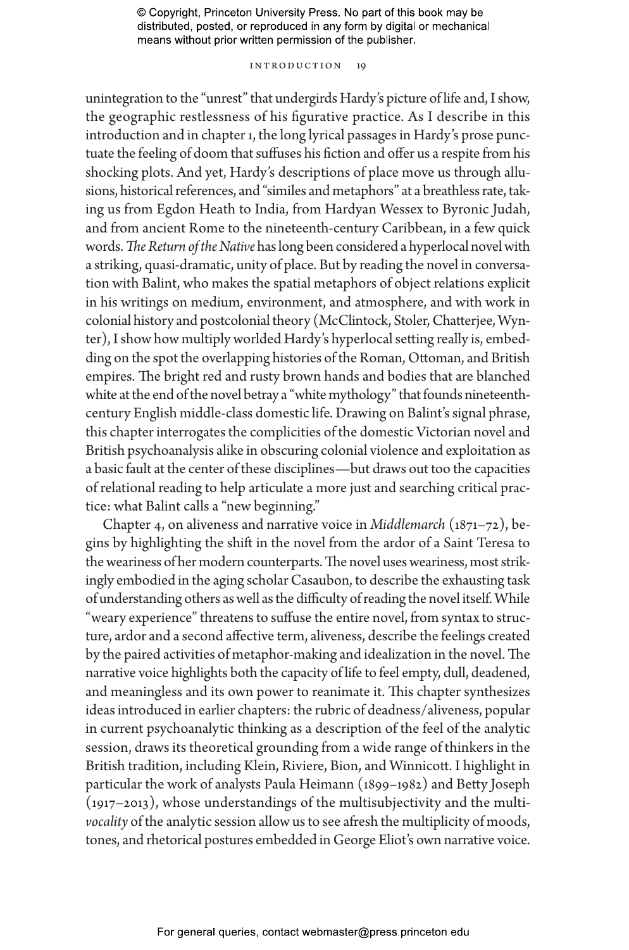#### Introduction 19

unintegration to the "unrest" that undergirds Hardy's picture of life and, I show, the geographic restlessness of his figurative practice. As I describe in this introduction and in chapter 1, the long lyrical passages in Hardy's prose punctuate the feeling of doom that suffuses his fiction and offer us a respite from his shocking plots. And yet, Hardy's descriptions of place move us through allusions, historical references, and "similes and metaphors" at a breathless rate, taking us from Egdon Heath to India, from Hardyan Wessex to Byronic Judah, and from ancient Rome to the nineteenth-century Caribbean, in a few quick words. *The Return of the Native* has long been considered a hyperlocal novel with a striking, quasi-dramatic, unity of place. But by reading the novel in conversation with Balint, who makes the spatial metaphors of object relations explicit in his writings on medium, environment, and atmosphere, and with work in colonial history and postcolonial theory (McClintock, Stoler, Chatterjee, Wynter), I show how multiply worlded Hardy's hyperlocal setting really is, embedding on the spot the overlapping histories of the Roman, Ottoman, and British empires. The bright red and rusty brown hands and bodies that are blanched white at the end of the novel betray a "white mythology" that founds nineteenthcentury English middle-class domestic life. Drawing on Balint's signal phrase, this chapter interrogates the complicities of the domestic Victorian novel and British psychoanalysis alike in obscuring colonial violence and exploitation as a basic fault at the center of these disciplines—but draws out too the capacities of relational reading to help articulate a more just and searching critical practice: what Balint calls a "new beginning."

Chapter 4, on aliveness and narrative voice in *Middlemarch* (1871–72), begins by highlighting the shift in the novel from the ardor of a Saint Teresa to the weariness of her modern counterparts. The novel uses weariness, most strikingly embodied in the aging scholar Casaubon, to describe the exhausting task of understanding others as well as the difficulty of reading the novel itself. While "weary experience" threatens to suffuse the entire novel, from syntax to structure, ardor and a second affective term, aliveness, describe the feelings created by the paired activities of metaphor-making and idealization in the novel. The narrative voice highlights both the capacity of life to feel empty, dull, deadened, and meaningless and its own power to reanimate it. This chapter synthesizes ideas introduced in earlier chapters: the rubric of deadness/aliveness, popular in current psychoanalytic thinking as a description of the feel of the analytic session, draws its theoretical grounding from a wide range of thinkers in the British tradition, including Klein, Riviere, Bion, and Winnicott. I highlight in particular the work of analysts Paula Heimann (1899–1982) and Betty Joseph (1917–2013), whose understandings of the multisubjectivity and the multi*vocality* of the analytic session allow us to see afresh the multiplicity of moods, tones, and rhetorical postures embedded in George Eliot's own narrative voice.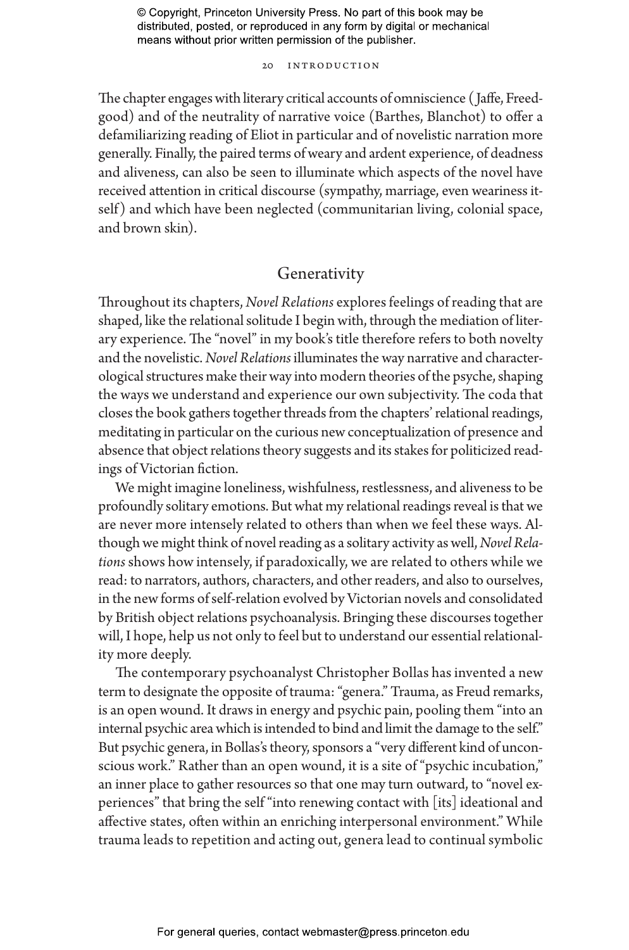20 Introduction

The chapter engages with literary critical accounts of omniscience ( Jaffe, Freedgood) and of the neutrality of narrative voice (Barthes, Blanchot) to offer a defamiliarizing reading of Eliot in particular and of novelistic narration more generally. Finally, the paired terms of weary and ardent experience, of deadness and aliveness, can also be seen to illuminate which aspects of the novel have received attention in critical discourse (sympathy, marriage, even weariness itself) and which have been neglected (communitarian living, colonial space, and brown skin).

## Generativity

Throughout its chapters, *Novel Relations* explores feelings of reading that are shaped, like the relational solitude I begin with, through the mediation of literary experience. The "novel" in my book's title therefore refers to both novelty and the novelistic. *Novel Relations* illuminates the way narrative and characterological structures make their way into modern theories of the psyche, shaping the ways we understand and experience our own subjectivity. The coda that closes the book gathers together threads from the chapters' relational readings, meditating in particular on the curious new conceptualization of presence and absence that object relations theory suggests and its stakes for politicized readings of Victorian fiction.

We might imagine loneliness, wishfulness, restlessness, and aliveness to be profoundly solitary emotions. But what my relational readings reveal is that we are never more intensely related to others than when we feel these ways. Although we might think of novel reading as a solitary activity as well, *Novel Relations* shows how intensely, if paradoxically, we are related to others while we read: to narrators, authors, characters, and other readers, and also to ourselves, in the new forms of self-relation evolved by Victorian novels and consolidated by British object relations psychoanalysis. Bringing these discourses together will, I hope, help us not only to feel but to understand our essential relationality more deeply.

The contemporary psychoanalyst Christopher Bollas has invented a new term to designate the opposite of trauma: "genera." Trauma, as Freud remarks, is an open wound. It draws in energy and psychic pain, pooling them "into an internal psychic area which is intended to bind and limit the damage to the self." But psychic genera, in Bollas's theory, sponsors a "very different kind of unconscious work." Rather than an open wound, it is a site of "psychic incubation," an inner place to gather resources so that one may turn outward, to "novel experiences" that bring the self "into renewing contact with [its] ideational and affective states, often within an enriching interpersonal environment." While trauma leads to repetition and acting out, genera lead to continual symbolic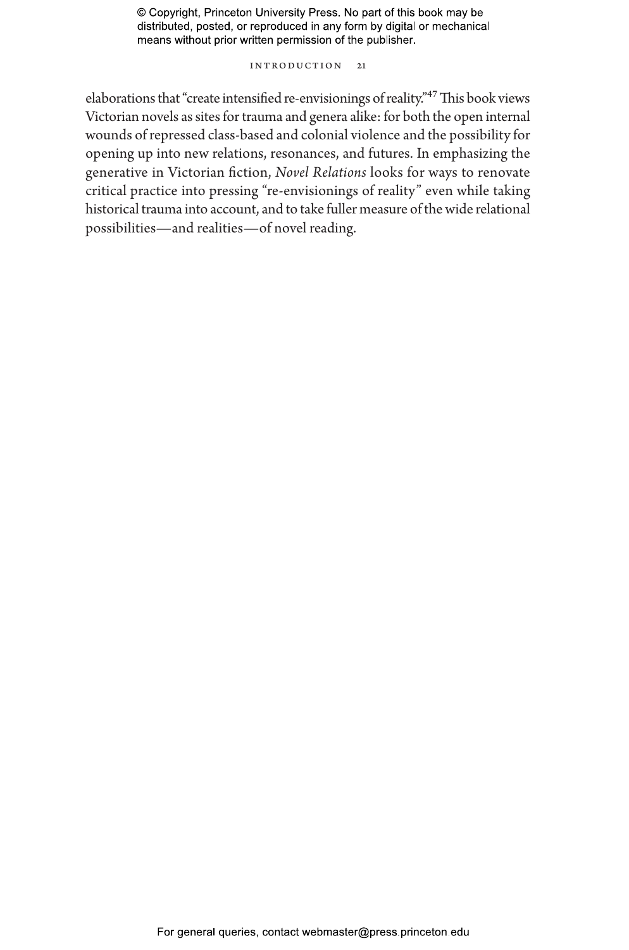#### Introduction 21

elaborations that "create intensified re-envisionings of reality."47 This book views Victorian novels as sites for trauma and genera alike: for both the open internal wounds of repressed class-based and colonial violence and the possibility for opening up into new relations, resonances, and futures. In emphasizing the generative in Victorian fiction, *Novel Relations* looks for ways to renovate critical practice into pressing "re-envisionings of reality" even while taking historical trauma into account, and to take fuller measure of the wide relational possibilities—and realities—of novel reading.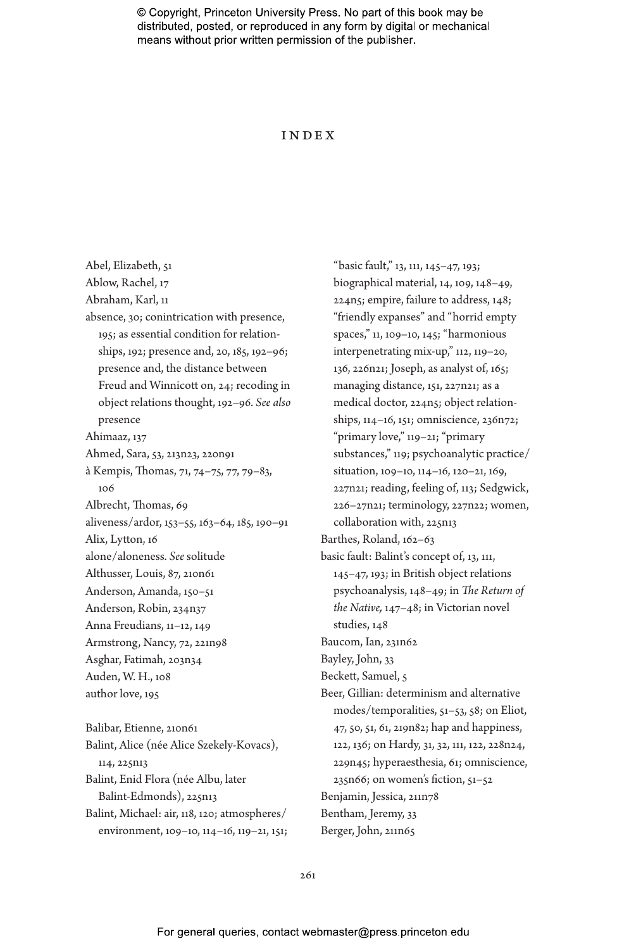#### **INDEX**

Abel, Elizabeth, 51 Ablow, Rachel, 17 Abraham, Karl, 11 absence, 30; conintrication with presence, 195; as essential condition for relationships, 192; presence and, 20, 185, 192–96; presence and, the distance between Freud and Winnicott on, 24; recoding in object relations thought, 192–96. *See also* presence Ahimaaz, 137 Ahmed, Sara, 53, 213n23, 220n91 à Kempis, Thomas, 71, 74–75, 77, 79–83, 106 Albrecht, Thomas, 69 aliveness/ardor, 153–55, 163–64, 185, 190–91 Alix, Lytton, 16 alone/aloneness. *See* solitude Althusser, Louis, 87, 210n61 Anderson, Amanda, 150–51 Anderson, Robin, 234n37 Anna Freudians, 11–12, 149 Armstrong, Nancy, 72, 221n98 Asghar, Fatimah, 203n34 Auden, W. H., 108 author love, 195

Balibar, Etienne, 210n61 Balint, Alice (née Alice Szekely-Kovacs), 114, 225n13 Balint, Enid Flora (née Albu, later Balint-Edmonds), 225n13 Balint, Michael: air, 118, 120; atmospheres/ environment, 109–10, 114–16, 119–21, 151;

"basic fault," 13, 111, 145–47, 193; biographical material, 14, 109, 148–49, 224n5; empire, failure to address, 148; "friendly expanses" and "horrid empty spaces," 11, 109–10, 145; "harmonious interpenetrating mix-up," 112, 119–20, 136, 226n21; Joseph, as analyst of, 165; managing distance, 151, 227n21; as a medical doctor, 224n5; object relationships, 114–16, 151; omniscience, 236n72; "primary love," 119–21; "primary substances," 119; psychoanalytic practice/ situation, 109–10, 114–16, 120–21, 169, 227n21; reading, feeling of, 113; Sedgwick, 226–27n21; terminology, 227n22; women, collaboration with, 225n13 Barthes, Roland, 162–63 basic fault: Balint's concept of, 13, 111, 145–47, 193; in British object relations psychoanalysis, 148–49; in *The Return of the Native,* 147–48; in Victorian novel studies, 148 Baucom, Ian, 231n62 Bayley, John, 33 Beckett, Samuel, 5 Beer, Gillian: determinism and alternative modes/temporalities, 51–53, 58; on Eliot, 47, 50, 51, 61, 219n82; hap and happiness, 122, 136; on Hardy, 31, 32, 111, 122, 228n24, 229n45; hyperaesthesia, 61; omniscience, 235n66; on women's fiction, 51–52 Benjamin, Jessica, 211n78 Bentham, Jeremy, 33 Berger, John, 211n65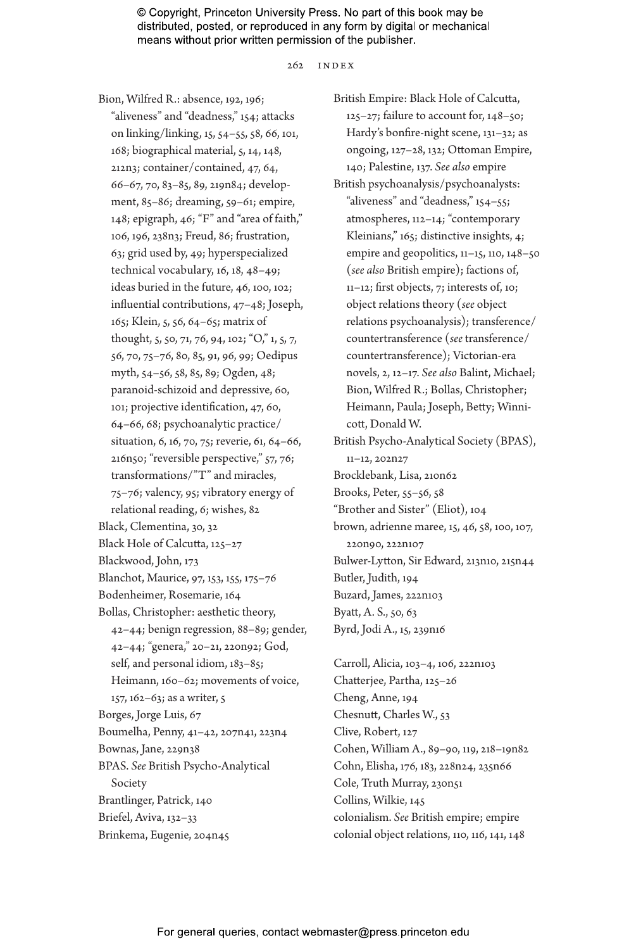262 index

Bion, Wilfred R.: absence, 192, 196; "aliveness" and "deadness," 154; attacks on linking/linking, 15, 54–55, 58, 66, 101, 168; biographical material, 5, 14, 148, 212n3; container/contained, 47, 64, 66–67, 70, 83–85, 89, 219n84; development, 85–86; dreaming, 59–61; empire, 148; epigraph, 46; "F" and "area of faith," 106, 196, 238n3; Freud, 86; frustration, 63; grid used by, 49; hyperspecialized technical vocabulary, 16, 18, 48–49; ideas buried in the future, 46, 100, 102; influential contributions, 47–48; Joseph, 165; Klein, 5, 56, 64–65; matrix of thought, 5, 50, 71, 76, 94, 102; "O," 1, 5, 7, 56, 70, 75–76, 80, 85, 91, 96, 99; Oedipus myth, 54–56, 58, 85, 89; Ogden, 48; paranoid-schizoid and depressive, 60, 101; projective identification, 47, 60, 64–66, 68; psychoanalytic practice/ situation, 6, 16, 70, 75; reverie, 61, 64–66, 216n50; "reversible perspective," 57, 76; transformations/"T" and miracles, 75–76; valency, 95; vibratory energy of relational reading, 6; wishes, 82 Black, Clementina, 30, 32 Black Hole of Calcutta, 125–27 Blackwood, John, 173 Blanchot, Maurice, 97, 153, 155, 175–76 Bodenheimer, Rosemarie, 164 Bollas, Christopher: aesthetic theory, 42–44; benign regression, 88–89; gender, 42–44; "genera," 20–21, 220n92; God, self, and personal idiom, 183–85; Heimann, 160–62; movements of voice, 157, 162–63; as a writer, 5 Borges, Jorge Luis, 67 Boumelha, Penny, 41–42, 207n41, 223n4 Bownas, Jane, 229n38 BPAS. *See* British Psycho-Analytical Society Brantlinger, Patrick, 140 Briefel, Aviva, 132–33 Brinkema, Eugenie, 204n45

British Empire: Black Hole of Calcutta, 125–27; failure to account for, 148–50; Hardy's bonfire-night scene, 131–32; as ongoing, 127–28, 132; Ottoman Empire, 140; Palestine, 137. *See also* empire British psychoanalysis/psychoanalysts: "aliveness" and "deadness," 154–55; atmospheres, 112–14; "contemporary Kleinians," 165; distinctive insights, 4; empire and geopolitics, 11–15, 110, 148–50 (*see also* British empire); factions of, 11–12; first objects, 7; interests of, 10; object relations theory (*see* object relations psychoanalysis); transference/ countertransference (*see* transference/ countertransference); Victorian-era novels, 2, 12–17. *See also* Balint, Michael; Bion, Wilfred R.; Bollas, Christopher; Heimann, Paula; Joseph, Betty; Winnicott, Donald W. British Psycho-Analytical Society (BPAS), 11–12, 202n27 Brocklebank, Lisa, 210n62 Brooks, Peter, 55–56, 58 "Brother and Sister" (Eliot), 104 brown, adrienne maree, 15, 46, 58, 100, 107, 220n90, 222n107 Bulwer-Lytton, Sir Edward, 213n10, 215n44 Butler, Judith, 194 Buzard, James, 222n103 Byatt, A. S., 50, 63 Byrd, Jodi A., 15, 239n16

Carroll, Alicia, 103–4, 106, 222n103 Chatterjee, Partha, 125–26 Cheng, Anne, 194 Chesnutt, Charles W., 53 Clive, Robert, 127 Cohen, William A., 89–90, 119, 218–19n82 Cohn, Elisha, 176, 183, 228n24, 235n66 Cole, Truth Murray, 230n51 Collins, Wilkie, 145 colonialism. *See* British empire; empire colonial object relations, 110, 116, 141, 148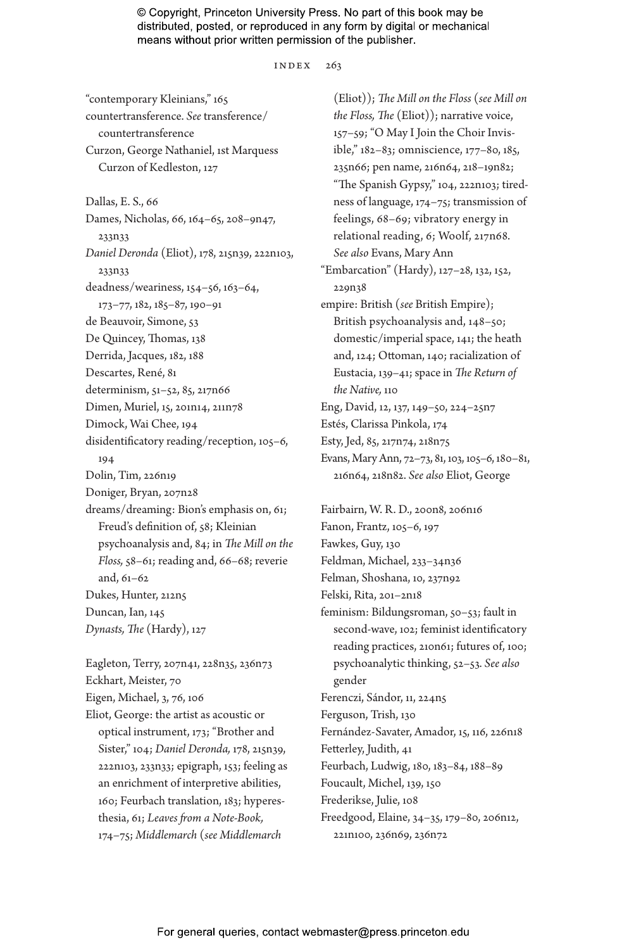$INDEX$  263

"contemporary Kleinians," 165 countertransference. *See* transference/ countertransference Curzon, George Nathaniel, 1st Marquess Curzon of Kedleston, 127 Dallas, E. S., 66 Dames, Nicholas, 66, 164–65, 208–9n47, 233n33 *Daniel Deronda* (Eliot), 178, 215n39, 222n103, 233n33 deadness/weariness, 154–56, 163–64, 173–77, 182, 185–87, 190–91 de Beauvoir, Simone, 53 De Quincey, Thomas, 138 Derrida, Jacques, 182, 188 Descartes, René, 81 determinism, 51–52, 85, 217n66 Dimen, Muriel, 15, 201n14, 211n78 Dimock, Wai Chee, 194 disidentificatory reading/reception, 105–6, 194 Dolin, Tim, 226n19 Doniger, Bryan, 207n28 dreams/dreaming: Bion's emphasis on, 61; Freud's definition of, 58; Kleinian psychoanalysis and, 84; in *The Mill on the Floss,* 58–61; reading and, 66–68; reverie and, 61–62 Dukes, Hunter, 212n5 Duncan, Ian, 145 *Dynasts, The* (Hardy), 127 Eagleton, Terry, 207n41, 228n35, 236n73 Eckhart, Meister, 70

Eigen, Michael, 3, 76, 106 Eliot, George: the artist as acoustic or optical instrument, 173; "Brother and Sister," 104; *Daniel Deronda,* 178, 215n39, 222n103, 233n33; epigraph, 153; feeling as an enrichment of interpretive abilities, 160; Feurbach translation, 183; hyperesthesia, 61; *Leaves from a Note-Book,* 174–75; *Middlemarch* (*see Middlemarch*

(Eliot)); *The Mill on the Floss* (*see Mill on the Floss, The* (Eliot)); narrative voice, 157–59; "O May I Join the Choir Invisible," 182–83; omniscience, 177–80, 185, 235n66; pen name, 216n64, 218–19n82; "The Spanish Gypsy," 104, 222n103; tiredness of language, 174–75; transmission of feelings, 68–69; vibratory energy in relational reading, 6; Woolf, 217n68. *See also* Evans, Mary Ann "Embarcation" (Hardy), 127–28, 132, 152, 229n38 empire: British (*see* British Empire); British psychoanalysis and, 148–50; domestic/imperial space, 141; the heath and, 124; Ottoman, 140; racialization of Eustacia, 139–41; space in *The Return of the Native,* 110 Eng, David, 12, 137, 149–50, 224–25n7 Estés, Clarissa Pinkola, 174 Esty, Jed, 85, 217n74, 218n75 Evans, Mary Ann, 72–73, 81, 103, 105–6, 180–81, 216n64, 218n82. *See also* Eliot, George

Fairbairn, W. R. D., 200n8, 206n16 Fanon, Frantz, 105–6, 197 Fawkes, Guy, 130 Feldman, Michael, 233–34n36 Felman, Shoshana, 10, 237n92 Felski, Rita, 201–2n18 feminism: Bildungsroman, 50–53; fault in second-wave, 102; feminist identificatory reading practices, 210n61; futures of, 100; psychoanalytic thinking, 52–53. *See also* gender Ferenczi, Sándor, 11, 224n5 Ferguson, Trish, 130 Fernández-Savater, Amador, 15, 116, 226n18 Fetterley, Judith, 41 Feurbach, Ludwig, 180, 183–84, 188–89 Foucault, Michel, 139, 150 Frederikse, Julie, 108 Freedgood, Elaine, 34–35, 179–80, 206n12, 221n100, 236n69, 236n72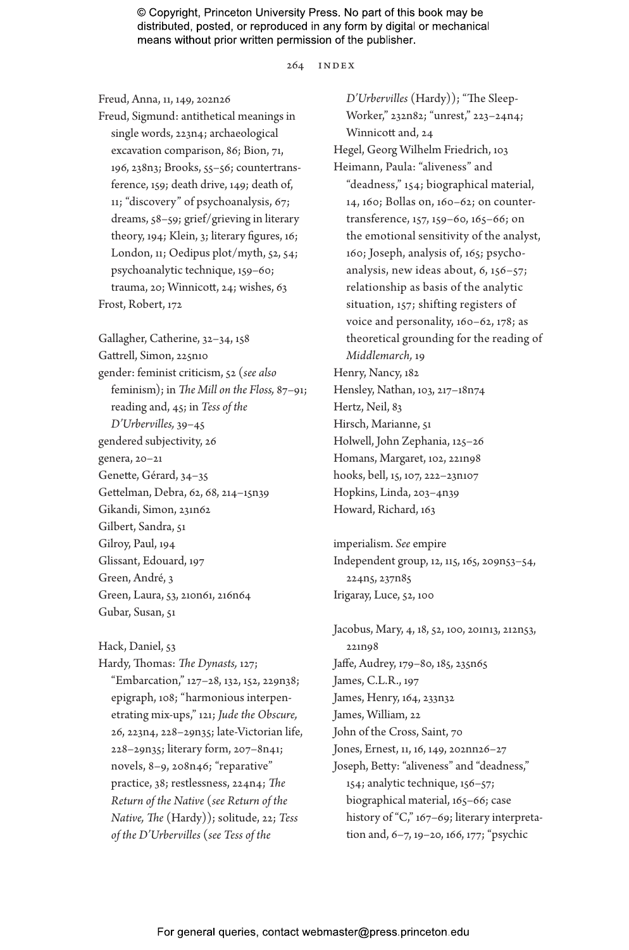264 index

Freud, Anna, 11, 149, 202n26

Freud, Sigmund: antithetical meanings in single words, 223n4; archaeological excavation comparison, 86; Bion, 71, 196, 238n3; Brooks, 55–56; countertransference, 159; death drive, 149; death of, 11; "discovery" of psychoanalysis, 67; dreams, 58–59; grief/grieving in literary theory, 194; Klein, 3; literary figures, 16; London, 11; Oedipus plot/myth, 52, 54; psychoanalytic technique, 159–60; trauma, 20; Winnicott, 24; wishes, 63 Frost, Robert, 172

Gallagher, Catherine, 32–34, 158 Gattrell, Simon, 225n10 gender: feminist criticism, 52 (*see also* feminism); in *The Mill on the Floss,* 87–91; reading and, 45; in *Tess of the D'Urbervilles,* 39–45 gendered subjectivity, 26 genera, 20–21 Genette, Gérard, 34–35 Gettelman, Debra, 62, 68, 214–15n39 Gikandi, Simon, 231n62 Gilbert, Sandra, 51 Gilroy, Paul, 194 Glissant, Edouard, 197 Green, André, 3 Green, Laura, 53, 210n61, 216n64 Gubar, Susan, 51

Hack, Daniel, 53

Hardy, Thomas: *The Dynasts,* 127; "Embarcation," 127–28, 132, 152, 229n38; epigraph, 108; "harmonious interpenetrating mix-ups," 121; *Jude the Obscure,* 26, 223n4, 228–29n35; late-Victorian life, 228–29n35; literary form, 207–8n41; novels, 8–9, 208n46; "reparative" practice, 38; restlessness, 224n4; *The Return of the Native* (*see Return of the Native, The* (Hardy)); solitude, 22; *Tess of the D'Urbervilles* (*see Tess of the* 

*D'Urbervilles* (Hardy)); "The Sleep-Worker," 232n82; "unrest," 223–24n4; Winnicott and, 24 Hegel, Georg Wilhelm Friedrich, 103 Heimann, Paula: "aliveness" and "deadness," 154; biographical material,

14, 160; Bollas on, 160–62; on countertransference, 157, 159–60, 165–66; on the emotional sensitivity of the analyst, 160; Joseph, analysis of, 165; psychoanalysis, new ideas about, 6, 156–57; relationship as basis of the analytic situation, 157; shifting registers of voice and personality, 160–62, 178; as theoretical grounding for the reading of *Middlemarch,* 19 Henry, Nancy, 182 Hensley, Nathan, 103, 217–18n74 Hertz, Neil, 83 Hirsch, Marianne, 51 Holwell, John Zephania, 125–26 Homans, Margaret, 102, 221n98 hooks, bell, 15, 107, 222–23n107 Hopkins, Linda, 203–4n39

Howard, Richard, 163

imperialism. *See* empire Independent group, 12, 115, 165, 209n53–54, 224n5, 237n85 Irigaray, Luce, 52, 100

Jacobus, Mary, 4, 18, 52, 100, 201n13, 212n53, 221n98 Jaffe, Audrey, 179–80, 185, 235n65 James, C.L.R., 197 James, Henry, 164, 233n32 James, William, 22 John of the Cross, Saint, 70 Jones, Ernest, 11, 16, 149, 202nn26–27 Joseph, Betty: "aliveness" and "deadness," 154; analytic technique, 156–57; biographical material, 165–66; case history of "C," 167-69; literary interpretation and, 6–7, 19–20, 166, 177; "psychic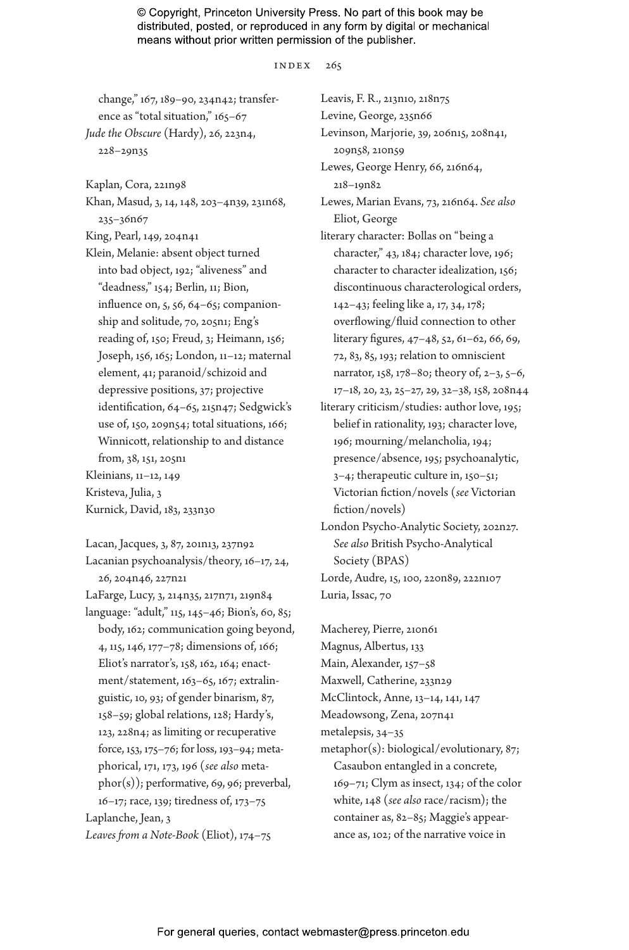index 265

change," 167, 189–90, 234n42; transference as "total situation," 165-67 *Jude the Obscure* (Hardy), 26, 223n4, 228–29n35

Kaplan, Cora, 221n98

Khan, Masud, 3, 14, 148, 203–4n39, 231n68, 235–36n67 King, Pearl, 149, 204n41 Klein, Melanie: absent object turned into bad object, 192; "aliveness" and "deadness," 154; Berlin, 11; Bion, influence on, 5, 56, 64–65; companionship and solitude, 70, 205n1; Eng's reading of, 150; Freud, 3; Heimann, 156; Joseph, 156, 165; London, 11–12; maternal element, 41; paranoid/schizoid and depressive positions, 37; projective identification, 64–65, 215n47; Sedgwick's use of, 150, 209n54; total situations, 166; Winnicott, relationship to and distance from, 38, 151, 205n1 Kleinians, 11–12, 149 Kristeva, Julia, 3 Kurnick, David, 183, 233n30

Lacan, Jacques, 3, 87, 201n13, 237n92 Lacanian psychoanalysis/theory, 16–17, 24, 26, 204n46, 227n21 LaFarge, Lucy, 3, 214n35, 217n71, 219n84 language: "adult," 115, 145–46; Bion's, 60, 85; body, 162; communication going beyond, 4, 115, 146, 177–78; dimensions of, 166; Eliot's narrator's, 158, 162, 164; enactment/statement, 163–65, 167; extralinguistic, 10, 93; of gender binarism, 87, 158–59; global relations, 128; Hardy's, 123, 228n4; as limiting or recuperative force, 153, 175–76; for loss, 193–94; metaphorical, 171, 173, 196 (*see also* metaphor(s)); performative, 69, 96; preverbal, 16–17; race, 139; tiredness of, 173–75 Laplanche, Jean, 3 *Leaves from a Note-Book* (Eliot), 174–75

Leavis, F. R., 213n10, 218n75 Levine, George, 235n66 Levinson, Marjorie, 39, 206n15, 208n41, 209n58, 210n59 Lewes, George Henry, 66, 216n64, 218–19n82 Lewes, Marian Evans, 73, 216n64. *See also* Eliot, George literary character: Bollas on "being a character," 43, 184; character love, 196; character to character idealization, 156; discontinuous characterological orders, 142–43; feeling like a, 17, 34, 178; overflowing/fluid connection to other literary figures, 47–48, 52, 61–62, 66, 69, 72, 83, 85, 193; relation to omniscient narrator, 158, 178–80; theory of, 2–3, 5–6, 17–18, 20, 23, 25–27, 29, 32–38, 158, 208n44 literary criticism/studies: author love, 195; belief in rationality, 193; character love, 196; mourning/melancholia, 194; presence/absence, 195; psychoanalytic, 3–4; therapeutic culture in, 150–51; Victorian fiction/novels (*see* Victorian

London Psycho-Analytic Society, 202n27. *See also* British Psycho-Analytical Society (BPAS) Lorde, Audre, 15, 100, 220n89, 222n107 Luria, Issac, 70

fiction/novels)

Macherey, Pierre, 210n61 Magnus, Albertus, 133 Main, Alexander, 157–58 Maxwell, Catherine, 233n29 McClintock, Anne, 13–14, 141, 147 Meadowsong, Zena, 207n41 metalepsis, 34–35 metaphor(s): biological/evolutionary, 87; Casaubon entangled in a concrete, 169–71; Clym as insect, 134; of the color white, 148 (*see also* race/racism); the container as, 82–85; Maggie's appearance as, 102; of the narrative voice in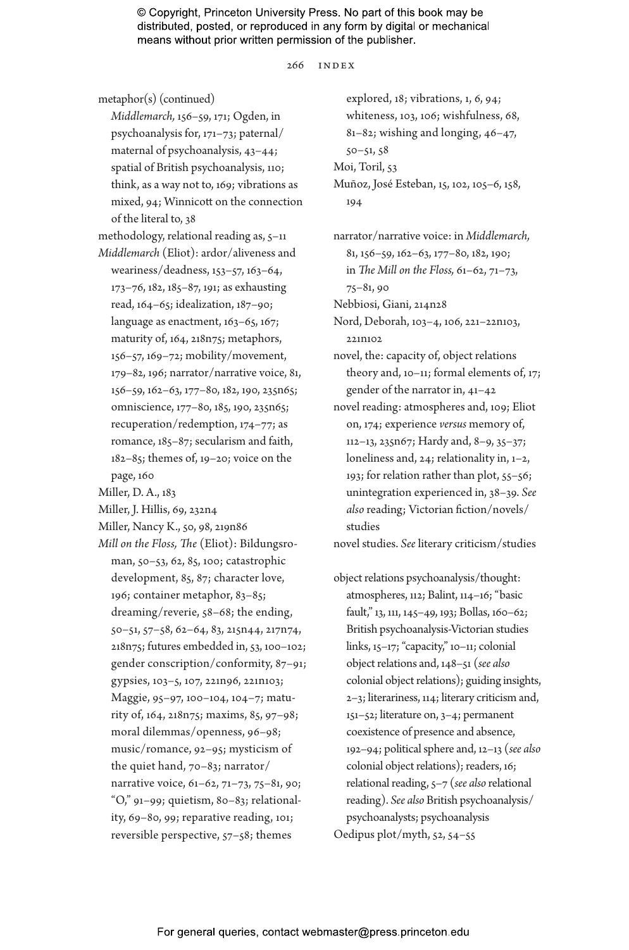266 index

metaphor(s) (continued)

*Middlemarch,* 156–59, 171; Ogden, in psychoanalysis for, 171–73; paternal/ maternal of psychoanalysis, 43–44; spatial of British psychoanalysis, 110; think, as a way not to, 169; vibrations as mixed, 94; Winnicott on the connection of the literal to, 38

- methodology, relational reading as, 5–11 *Middlemarch* (Eliot): ardor/aliveness and weariness/deadness, 153–57, 163–64, 173–76, 182, 185–87, 191; as exhausting read, 164–65; idealization, 187–90; language as enactment, 163–65, 167; maturity of, 164, 218n75; metaphors, 156–57, 169–72; mobility/movement, 179–82, 196; narrator/narrative voice, 81, 156–59, 162–63, 177–80, 182, 190, 235n65; omniscience, 177–80, 185, 190, 235n65; recuperation/redemption, 174–77; as romance, 185–87; secularism and faith, 182–85; themes of, 19–20; voice on the page, 160
- Miller, D. A., 183
- Miller, J. Hillis, 69, 232n4
- Miller, Nancy K., 50, 98, 219n86
- *Mill on the Floss, The* (Eliot): Bildungsroman, 50–53, 62, 85, 100; catastrophic development, 85, 87; character love, 196; container metaphor, 83–85; dreaming/reverie, 58–68; the ending, 50–51, 57–58, 62–64, 83, 215n44, 217n74, 218n75; futures embedded in, 53, 100–102; gender conscription/conformity, 87–91; gypsies, 103–5, 107, 221n96, 221n103; Maggie, 95–97, 100–104, 104–7; maturity of, 164, 218n75; maxims, 85, 97–98; moral dilemmas/openness, 96–98; music/romance, 92–95; mysticism of the quiet hand, 70–83; narrator/ narrative voice, 61–62, 71–73, 75–81, 90; "O," 91–99; quietism, 80–83; relationality, 69–80, 99; reparative reading, 101; reversible perspective, 57–58; themes

explored, 18; vibrations, 1, 6, 94; whiteness, 103, 106; wishfulness, 68, 81–82; wishing and longing, 46–47, 50–51, 58 Moi, Toril, 53 Muñoz, José Esteban, 15, 102, 105–6, 158, 194

- narrator/narrative voice: in *Middlemarch,* 81, 156–59, 162–63, 177–80, 182, 190; in *The Mill on the Floss,* 61–62, 71–73, 75–81, 90 Nebbiosi, Giani, 214n28
- Nord, Deborah, 103–4, 106, 221–22n103, 221n102
- novel, the: capacity of, object relations theory and, 10–11; formal elements of, 17; gender of the narrator in, 41–42
- novel reading: atmospheres and, 109; Eliot on, 174; experience *versus* memory of, 112–13, 235n67; Hardy and, 8–9, 35–37; loneliness and, 24; relationality in, 1–2, 193; for relation rather than plot, 55–56; unintegration experienced in, 38–39. *See also* reading; Victorian fiction/novels/ studies

novel studies. *See* literary criticism/studies

object relations psychoanalysis/thought: atmospheres, 112; Balint, 114–16; "basic fault," 13, 111, 145–49, 193; Bollas, 160–62; British psychoanalysis-Victorian studies links, 15–17; "capacity," 10–11; colonial object relations and, 148–51 (*see also* colonial object relations); guiding insights, 2–3; literariness, 114; literary criticism and, 151–52; literature on, 3–4; permanent coexistence of presence and absence, 192–94; political sphere and, 12–13 (*see also* colonial object relations); readers, 16; relational reading, 5–7 (*see also* relational reading). *See also* British psychoanalysis/ psychoanalysts; psychoanalysis Oedipus plot/myth, 52, 54–55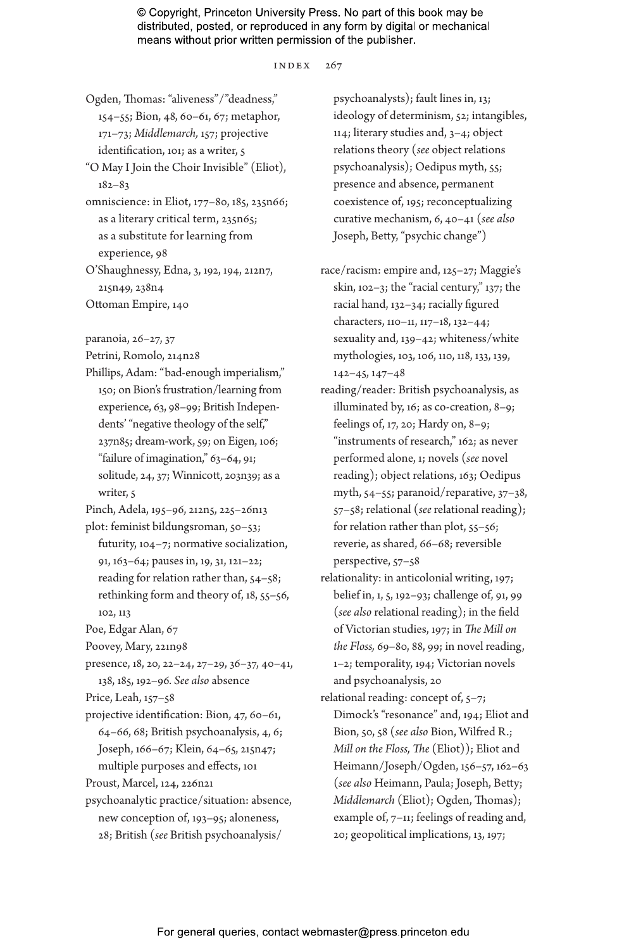#### index 267

Ogden, Thomas: "aliveness"/"deadness," 154–55; Bion, 48, 60–61, 67; metaphor, 171–73; *Middlemarch,* 157; projective identification, 101; as a writer, 5 "O May I Join the Choir Invisible" (Eliot), 182–83 omniscience: in Eliot, 177–80, 185, 235n66; as a literary critical term, 235n65; as a substitute for learning from experience, 98 O'Shaughnessy, Edna, 3, 192, 194, 212n7, 215n49, 238n4 Ottoman Empire, 140 paranoia, 26–27, 37 Petrini, Romolo, 214n28 Phillips, Adam: "bad-enough imperialism,"

150; on Bion's frustration/learning from experience, 63, 98–99; British Independents' "negative theology of the self," 237n85; dream-work, 59; on Eigen, 106; "failure of imagination," 63–64, 91; solitude, 24, 37; Winnicott, 203n39; as a writer, 5

Pinch, Adela, 195–96, 212n5, 225–26n13 plot: feminist bildungsroman, 50–53; futurity, 104–7; normative socialization, 91, 163–64; pauses in, 19, 31, 121–22; reading for relation rather than, 54–58; rethinking form and theory of, 18, 55–56, 102, 113

Poe, Edgar Alan, 67

Poovey, Mary, 221n98

presence, 18, 20, 22–24, 27–29, 36–37, 40–41, 138, 185, 192–96. *See also* absence

Price, Leah, 157–58

projective identification: Bion, 47, 60–61, 64–66, 68; British psychoanalysis, 4, 6; Joseph, 166–67; Klein, 64–65, 215n47; multiple purposes and effects, 101

Proust, Marcel, 124, 226n21

psychoanalytic practice/situation: absence, new conception of, 193–95; aloneness, 28; British (*see* British psychoanalysis/

psychoanalysts); fault lines in, 13; ideology of determinism, 52; intangibles, 114; literary studies and, 3–4; object relations theory (*see* object relations psychoanalysis); Oedipus myth, 55; presence and absence, permanent coexistence of, 195; reconceptualizing curative mechanism, 6, 40–41 (*see also* Joseph, Betty, "psychic change")

race/racism: empire and, 125–27; Maggie's skin, 102–3; the "racial century," 137; the racial hand, 132–34; racially figured characters, 110–11, 117–18, 132–44; sexuality and, 139–42; whiteness/white mythologies, 103, 106, 110, 118, 133, 139, 142–45, 147–48

- reading/reader: British psychoanalysis, as illuminated by, 16; as co-creation, 8–9; feelings of, 17, 20; Hardy on, 8–9; "instruments of research," 162; as never performed alone, 1; novels (*see* novel reading); object relations, 163; Oedipus myth, 54–55; paranoid/reparative, 37–38, 57–58; relational (*see* relational reading); for relation rather than plot, 55–56; reverie, as shared, 66–68; reversible perspective, 57–58
- relationality: in anticolonial writing, 197; belief in, 1, 5, 192–93; challenge of, 91, 99 (*see also* relational reading); in the field of Victorian studies, 197; in *The Mill on the Floss,* 69–80, 88, 99; in novel reading, 1–2; temporality, 194; Victorian novels and psychoanalysis, 20

relational reading: concept of, 5–7; Dimock's "resonance" and, 194; Eliot and Bion, 50, 58 (*see also* Bion, Wilfred R.; *Mill on the Floss, The* (Eliot)); Eliot and Heimann/Joseph/Ogden, 156–57, 162–63 (*see also* Heimann, Paula; Joseph, Betty; *Middlemarch* (Eliot); Ogden, Thomas); example of, 7–11; feelings of reading and, 20; geopolitical implications, 13, 197;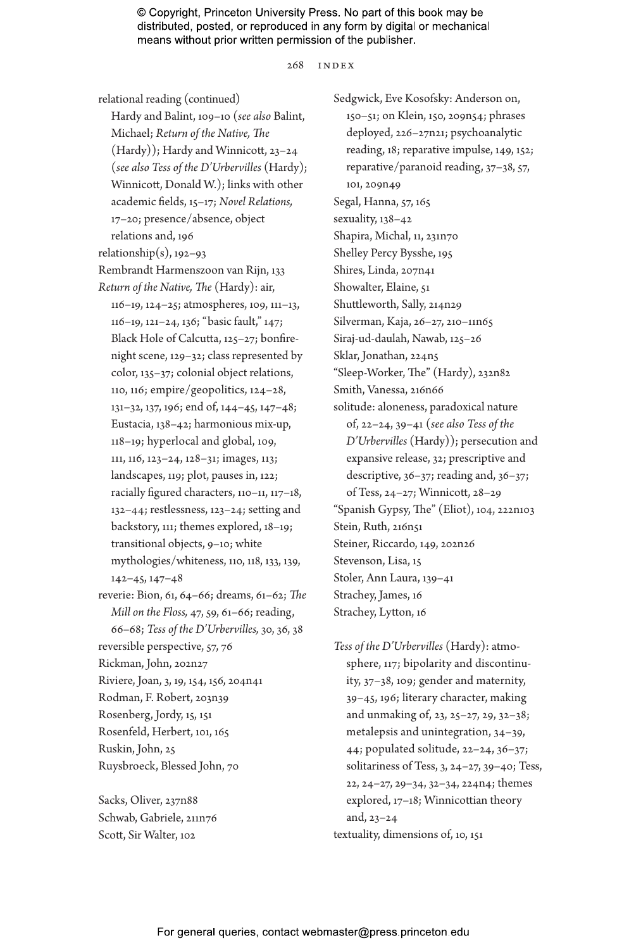268 index

relational reading (continued)

Hardy and Balint, 109–10 (*see also* Balint, Michael; *Return of the Native, The* (Hardy)); Hardy and Winnicott, 23–24 (*see also Tess of the D'Urbervilles* (Hardy); Winnicott, Donald W.); links with other academic fields, 15–17; *Novel Relations,* 17–20; presence/absence, object relations and, 196 relationship(s),  $192-93$ Rembrandt Harmenszoon van Rijn, 133 *Return of the Native, The* (Hardy): air, 116–19, 124–25; atmospheres, 109, 111–13, 116–19, 121–24, 136; "basic fault," 147; Black Hole of Calcutta, 125–27; bonfirenight scene, 129–32; class represented by color, 135–37; colonial object relations, 110, 116; empire/geopolitics, 124–28, 131–32, 137, 196; end of, 144–45, 147–48; Eustacia, 138–42; harmonious mix-up, 118–19; hyperlocal and global, 109, 111, 116, 123–24, 128–31; images, 113; landscapes, 119; plot, pauses in, 122; racially figured characters, 110–11, 117–18, 132–44; restlessness, 123–24; setting and backstory, 111; themes explored, 18–19; transitional objects, 9–10; white mythologies/whiteness, 110, 118, 133, 139, 142–45, 147–48 reverie: Bion, 61, 64–66; dreams, 61–62; *The Mill on the Floss,* 47, 59, 61–66; reading, 66–68; *Tess of the D'Urbervilles,* 30, 36, 38 reversible perspective, 57, 76 Rickman, John, 202n27

Riviere, Joan, 3, 19, 154, 156, 204n41 Rodman, F. Robert, 203n39 Rosenberg, Jordy, 15, 151 Rosenfeld, Herbert, 101, 165 Ruskin, John, 25 Ruysbroeck, Blessed John, 70

Sacks, Oliver, 237n88 Schwab, Gabriele, 211n76 Scott, Sir Walter, 102

Sedgwick, Eve Kosofsky: Anderson on, 150–51; on Klein, 150, 209n54; phrases deployed, 226–27n21; psychoanalytic reading, 18; reparative impulse, 149, 152; reparative/paranoid reading, 37–38, 57, 101, 209n49 Segal, Hanna, 57, 165 sexuality, 138–42 Shapira, Michal, 11, 231n70 Shelley Percy Bysshe, 195 Shires, Linda, 207n41 Showalter, Elaine, 51 Shuttleworth, Sally, 214n29 Silverman, Kaja, 26–27, 210–11n65 Siraj-ud-daulah, Nawab, 125–26 Sklar, Jonathan, 224n5 "Sleep-Worker, The" (Hardy), 232n82 Smith, Vanessa, 216n66 solitude: aloneness, paradoxical nature of, 22–24, 39–41 (*see also Tess of the D'Urbervilles* (Hardy)); persecution and expansive release, 32; prescriptive and descriptive, 36–37; reading and, 36–37; of Tess, 24–27; Winnicott, 28–29 "Spanish Gypsy, The" (Eliot), 104, 222n103 Stein, Ruth, 216n51 Steiner, Riccardo, 149, 202n26 Stevenson, Lisa, 15 Stoler, Ann Laura, 139–41 Strachey, James, 16 Strachey, Lytton, 16

*Tess of the D'Urbervilles* (Hardy): atmosphere, 117; bipolarity and discontinuity, 37–38, 109; gender and maternity, 39–45, 196; literary character, making and unmaking of, 23, 25–27, 29, 32–38; metalepsis and unintegration, 34–39, 44; populated solitude, 22–24, 36–37; solitariness of Tess, 3, 24–27, 39–40; Tess, 22, 24–27, 29–34, 32–34, 224n4; themes explored, 17–18; Winnicottian theory and, 23–24 textuality, dimensions of, 10, 151